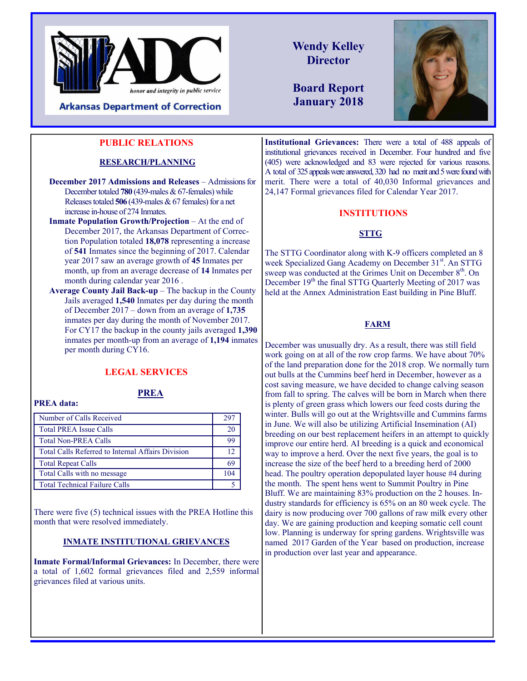

#### **PUBLIC RELATIONS**

#### **RESEARCH/PLANNING**

**December 2017 Admissions and Releases** – Admissions for December totaled **780** (439-males & 67-females) while Releases totaled **506** (439-males & 67 females) for a net increase in-house of 274 Inmates.

- **Inmate Population Growth/Projection** At the end of December 2017, the Arkansas Department of Correction Population totaled **18,078** representing a increase of **541** Inmates since the beginning of 2017. Calendar year 2017 saw an average growth of **45** Inmates per month, up from an average decrease of **14** Inmates per month during calendar year 2016 .
- **Average County Jail Back-up** The backup in the County Jails averaged **1,540** Inmates per day during the month of December 2017 – down from an average of **1,735**  inmates per day during the month of November 2017. For CY17 the backup in the county jails averaged **1,390**  inmates per month-up from an average of **1,194** inmates per month during CY16.

#### **LEGAL SERVICES**

## **PREA**

**PREA data:** 

| Number of Calls Received                                 | 297     |
|----------------------------------------------------------|---------|
| <b>Total PREA Issue Calls</b>                            | 20      |
| <b>Total Non-PREA Calls</b>                              | 99      |
| <b>Total Calls Referred to Internal Affairs Division</b> | $12 \,$ |
| <b>Total Repeat Calls</b>                                | 69      |
| Total Calls with no message                              | 104     |
| <b>Total Technical Failure Calls</b>                     |         |

There were five (5) technical issues with the PREA Hotline this month that were resolved immediately.

#### **INMATE INSTITUTIONAL GRIEVANCES**

**Inmate Formal/Informal Grievances:** In December, there were a total of 1,602 formal grievances filed and 2,559 informal grievances filed at various units.

**Wendy Kelley Director** 

**Board Report January 2018**



**Institutional Grievances:** There were a total of 488 appeals of institutional grievances received in December. Four hundred and five (405) were acknowledged and 83 were rejected for various reasons. A total of 325 appeals were answered, 320 had no merit and 5 were found with merit. There were a total of 40,030 Informal grievances and 24,147 Formal grievances filed for Calendar Year 2017.

#### **INSTITUTIONS**

#### **STTG**

The STTG Coordinator along with K-9 officers completed an 8 week Specialized Gang Academy on December 31<sup>st</sup>. An STTG sweep was conducted at the Grimes Unit on December  $8<sup>th</sup>$ . On December 19<sup>th</sup> the final STTG Quarterly Meeting of 2017 was held at the Annex Administration East building in Pine Bluff.

#### **FARM**

December was unusually dry. As a result, there was still field work going on at all of the row crop farms. We have about 70% of the land preparation done for the 2018 crop. We normally turn out bulls at the Cummins beef herd in December, however as a cost saving measure, we have decided to change calving season from fall to spring. The calves will be born in March when there is plenty of green grass which lowers our feed costs during the winter. Bulls will go out at the Wrightsville and Cummins farms in June. We will also be utilizing Artificial Insemination (AI) breeding on our best replacement heifers in an attempt to quickly improve our entire herd. AI breeding is a quick and economical way to improve a herd. Over the next five years, the goal is to increase the size of the beef herd to a breeding herd of 2000 head. The poultry operation depopulated layer house #4 during the month. The spent hens went to Summit Poultry in Pine Bluff. We are maintaining 83% production on the 2 houses. Industry standards for efficiency is 65% on an 80 week cycle. The dairy is now producing over 700 gallons of raw milk every other day. We are gaining production and keeping somatic cell count low. Planning is underway for spring gardens. Wrightsville was named 2017 Garden of the Year based on production, increase in production over last year and appearance.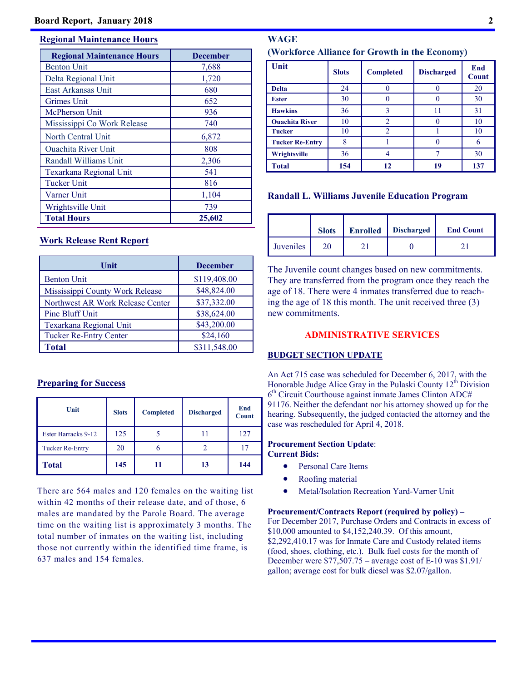#### **Regional Maintenance Hours**

| <b>Regional Maintenance Hours</b> | <b>December</b> |
|-----------------------------------|-----------------|
| <b>Benton Unit</b>                | 7,688           |
| Delta Regional Unit               | 1,720           |
| East Arkansas Unit                | 680             |
| Grimes Unit                       | 652             |
| McPherson Unit                    | 936             |
| Mississippi Co Work Release       | 740             |
| North Central Unit                | 6,872           |
| <b>Ouachita River Unit</b>        | 808             |
| Randall Williams Unit             | 2,306           |
| Texarkana Regional Unit           | 541             |
| <b>Tucker Unit</b>                | 816             |
| Varner Unit                       | 1,104           |
| Wrightsville Unit                 | 739             |
| <b>Total Hours</b>                | 25,602          |

#### **Work Release Rent Report**

| Unit                             | <b>December</b> |
|----------------------------------|-----------------|
| <b>Benton Unit</b>               | \$119,408.00    |
| Mississippi County Work Release  | \$48,824.00     |
| Northwest AR Work Release Center | \$37,332.00     |
| Pine Bluff Unit                  | \$38,624.00     |
| <b>Texarkana Regional Unit</b>   | \$43,200.00     |
| <b>Tucker Re-Entry Center</b>    | \$24,160        |
| <b>Total</b>                     | \$311,548.00    |

#### **Preparing for Success**

| Unit                   | <b>Slots</b> | <b>Completed</b> | <b>Discharged</b> | End<br><b>Count</b> |
|------------------------|--------------|------------------|-------------------|---------------------|
| Ester Barracks 9-12    | 125          |                  |                   | 127                 |
| <b>Tucker Re-Entry</b> | 20           |                  |                   |                     |
| <b>Total</b>           | 145          | 11               | 13                | 144                 |

There are 564 males and 120 females on the waiting list within 42 months of their release date, and of those, 6 males are mandated by the Parole Board. The average time on the waiting list is approximately 3 months. The total number of inmates on the waiting list, including those not currently within the identified time frame, is 637 males and 154 females.

#### **WAGE (Workforce Alliance for Growth in the Economy)**

| Unit                   | <b>Slots</b> | <b>Completed</b> | <b>Discharged</b> | End<br><b>Count</b> |
|------------------------|--------------|------------------|-------------------|---------------------|
| <b>Delta</b>           | 24           |                  |                   | 20                  |
| <b>Ester</b>           | 30           |                  |                   | 30                  |
| <b>Hawkins</b>         | 36           |                  | 11                | 31                  |
| <b>Ouachita River</b>  | 10           | 2                |                   | 10                  |
| <b>Tucker</b>          | 10           | 2                |                   | 10                  |
| <b>Tucker Re-Entry</b> | 8            |                  |                   |                     |
| Wrightsville           | 36           |                  |                   | 30                  |
| <b>Total</b>           | 154          | 12               | 19                | 137                 |

#### **Randall L. Williams Juvenile Education Program**

|                  | <b>Slots</b> | <b>Enrolled</b> | <b>Discharged</b> | <b>End Count</b> |
|------------------|--------------|-----------------|-------------------|------------------|
| <b>Juveniles</b> | 20           |                 |                   |                  |

The Juvenile count changes based on new commitments. They are transferred from the program once they reach the age of 18. There were 4 inmates transferred due to reaching the age of 18 this month. The unit received three (3) new commitments.

#### **ADMINISTRATIVE SERVICES**

#### **BUDGET SECTION UPDATE**

An Act 715 case was scheduled for December 6, 2017, with the Honorable Judge Alice Gray in the Pulaski County  $12<sup>th</sup>$  Division  $6<sup>th</sup>$  Circuit Courthouse against inmate James Clinton ADC# 91176. Neither the defendant nor his attorney showed up for the hearing. Subsequently, the judged contacted the attorney and the case was rescheduled for April 4, 2018.

#### **Procurement Section Update**: **Current Bids:**

- Personal Care Items
- Roofing material
- Metal/Isolation Recreation Yard-Varner Unit

**Procurement/Contracts Report (required by policy) –**  For December 2017, Purchase Orders and Contracts in excess of \$10,000 amounted to \$4,152,240.39. Of this amount, \$2,292,410.17 was for Inmate Care and Custody related items (food, shoes, clothing, etc.). Bulk fuel costs for the month of December were \$77,507.75 – average cost of E-10 was \$1.91/ gallon; average cost for bulk diesel was \$2.07/gallon.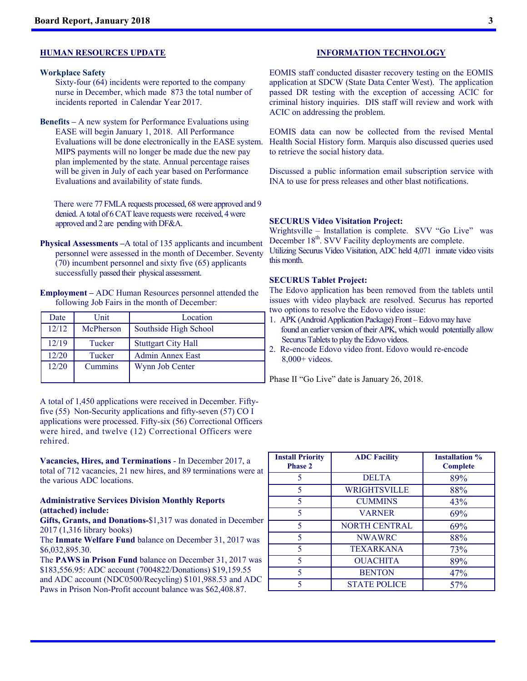#### **HUMAN RESOURCES UPDATE**

#### **Workplace Safety**

Sixty-four (64) incidents were reported to the company nurse in December, which made 873 the total number of incidents reported in Calendar Year 2017.

**Benefits –** A new system for Performance Evaluations using EASE will begin January 1, 2018. All Performance Evaluations will be done electronically in the EASE system. MIPS payments will no longer be made due the new pay plan implemented by the state. Annual percentage raises will be given in July of each year based on Performance Evaluations and availability of state funds.

 There were 77 FMLA requests processed, 68 were approved and 9 denied. A total of 6 CAT leave requests were received, 4 were approved and 2 are pending with DF&A.

- **Physical Assessments –**A total of 135 applicants and incumbent personnel were assessed in the month of December. Seventy (70) incumbent personnel and sixty five (65) applicants successfully passed their physical assessment.
- **Employment** ADC Human Resources personnel attended the following Job Fairs in the month of December:

| Date  | Unit      | Location                   | u١ |
|-------|-----------|----------------------------|----|
| 12/12 | McPherson | Southside High School      |    |
| 12/19 | Tucker    | <b>Stuttgart City Hall</b> |    |
| 12/20 | Tucker    | <b>Admin Annex East</b>    |    |
| 12/20 | Cummins   | Wynn Job Center            |    |
|       |           |                            |    |

A total of 1,450 applications were received in December. Fiftyfive (55) Non-Security applications and fifty-seven (57) CO I applications were processed. Fifty-six (56) Correctional Officers were hired, and twelve (12) Correctional Officers were rehired.

**Vacancies, Hires, and Terminations** - In December 2017, a total of 712 vacancies, 21 new hires, and 89 terminations were at the various ADC locations.

#### **Administrative Services Division Monthly Reports (attached) include:**

**Gifts, Grants, and Donations-**\$1,317 was donated in December 2017 (1,316 library books)

The **Inmate Welfare Fund** balance on December 31, 2017 was \$6,032,895.30.

The **PAWS in Prison Fund** balance on December 31, 2017 was \$183,556.95: ADC account (7004822/Donations) \$19,159.55 and ADC account (NDC0500/Recycling) \$101,988.53 and ADC Paws in Prison Non-Profit account balance was \$62,408.87.

#### **INFORMATION TECHNOLOGY**

EOMIS staff conducted disaster recovery testing on the EOMIS application at SDCW (State Data Center West). The application passed DR testing with the exception of accessing ACIC for criminal history inquiries. DIS staff will review and work with ACIC on addressing the problem.

EOMIS data can now be collected from the revised Mental Health Social History form. Marquis also discussed queries used to retrieve the social history data.

Discussed a public information email subscription service with INA to use for press releases and other blast notifications.

#### **SECURUS Video Visitation Project:**

Wrightsville – Installation is complete. SVV "Go Live" was December 18<sup>th</sup>. SVV Facility deployments are complete. Utilizing Securus Video Visitation, ADC held 4,071 inmate video visits

#### **SECURUS Tablet Project:**

this month.

The Edovo application has been removed from the tablets until issues with video playback are resolved. Securus has reported two options to resolve the Edovo video issue:

- 1. APK (Android Application Package) Front Edovo may have found an earlier version of their APK, which would potentially allow Securus Tablets to play the Edovo videos.
- 2. Re-encode Edovo video front. Edovo would re-encode 8,000+ videos.

Phase II "Go Live" date is January 26, 2018.

| <b>Install Priority</b><br><b>Phase 2</b> | <b>ADC Facility</b>  | <b>Installation %</b><br><b>Complete</b> |
|-------------------------------------------|----------------------|------------------------------------------|
| 5                                         | <b>DELTA</b>         | 89%                                      |
| 5                                         | WRIGHTSVILLE         | 88%                                      |
| 5                                         | <b>CUMMINS</b>       | 43%                                      |
| 5                                         | <b>VARNER</b>        | 69%                                      |
| 5                                         | <b>NORTH CENTRAL</b> | 69%                                      |
| 5                                         | <b>NWAWRC</b>        | 88%                                      |
| 5                                         | <b>TEXARKANA</b>     | 73%                                      |
| 5                                         | <b>OUACHITA</b>      | 89%                                      |
| 5                                         | <b>BENTON</b>        | 47%                                      |
| 5                                         | <b>STATE POLICE</b>  | 57%                                      |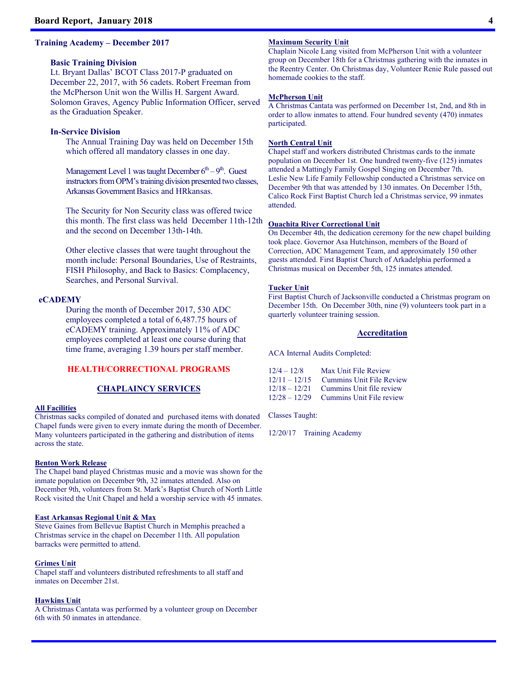#### **Training Academy – December 2017**

#### **Basic Training Division**

Lt. Bryant Dallas' BCOT Class 2017-P graduated on December 22, 2017, with 56 cadets. Robert Freeman from the McPherson Unit won the Willis H. Sargent Award. Solomon Graves, Agency Public Information Officer, served as the Graduation Speaker.

#### **In-Service Division**

The Annual Training Day was held on December 15th which offered all mandatory classes in one day.

Management Level 1 was taught December  $6<sup>th</sup> - 9<sup>th</sup>$ . Guest instructors from OPM's training division presented two classes, Arkansas Government Basics and HRkansas.

The Security for Non Security class was offered twice this month. The first class was held December 11th-12th and the second on December 13th-14th.

Other elective classes that were taught throughout the month include: Personal Boundaries, Use of Restraints, FISH Philosophy, and Back to Basics: Complacency, Searches, and Personal Survival.

#### **eCADEMY**

During the month of December 2017, 530 ADC employees completed a total of 6,487.75 hours of eCADEMY training. Approximately 11% of ADC employees completed at least one course during that time frame, averaging 1.39 hours per staff member.

#### **HEALTH/CORRECTIONAL PROGRAMS**

#### **CHAPLAINCY SERVICES**

#### **All Facilities**

Christmas sacks compiled of donated and purchased items with donated Chapel funds were given to every inmate during the month of December. Many volunteers participated in the gathering and distribution of items across the state.

#### **Benton Work Release**

The Chapel band played Christmas music and a movie was shown for the inmate population on December 9th, 32 inmates attended. Also on December 9th, volunteers from St. Mark's Baptist Church of North Little Rock visited the Unit Chapel and held a worship service with 45 inmates.

#### **East Arkansas Regional Unit & Max**

Steve Gaines from Bellevue Baptist Church in Memphis preached a Christmas service in the chapel on December 11th. All population barracks were permitted to attend.

#### **Grimes Unit**

Chapel staff and volunteers distributed refreshments to all staff and inmates on December 21st.

#### **Hawkins Unit**

A Christmas Cantata was performed by a volunteer group on December 6th with 50 inmates in attendance.

#### **Maximum Security Unit**

Chaplain Nicole Lang visited from McPherson Unit with a volunteer group on December 18th for a Christmas gathering with the inmates in the Reentry Center. On Christmas day, Volunteer Renie Rule passed out homemade cookies to the staff.

#### **McPherson Unit**

A Christmas Cantata was performed on December 1st, 2nd, and 8th in order to allow inmates to attend. Four hundred seventy (470) inmates participated.

#### **North Central Unit**

Chapel staff and workers distributed Christmas cards to the inmate population on December 1st. One hundred twenty-five (125) inmates attended a Mattingly Family Gospel Singing on December 7th. Leslie New Life Family Fellowship conducted a Christmas service on December 9th that was attended by 130 inmates. On December 15th, Calico Rock First Baptist Church led a Christmas service, 99 inmates attended.

#### **Ouachita River Correctional Unit**

On December 4th, the dedication ceremony for the new chapel building took place. Governor Asa Hutchinson, members of the Board of Correction, ADC Management Team, and approximately 150 other guests attended. First Baptist Church of Arkadelphia performed a Christmas musical on December 5th, 125 inmates attended.

#### **Tucker Unit**

First Baptist Church of Jacksonville conducted a Christmas program on December 15th. On December 30th, nine (9) volunteers took part in a quarterly volunteer training session.

#### **Accreditation**

ACA Internal Audits Completed:

| $12/4 - 12/8$   | Max Unit File Review            |
|-----------------|---------------------------------|
| $12/11 - 12/15$ | <b>Cummins Unit File Review</b> |
| $12/18 - 12/21$ | Cummins Unit file review        |
| $12/28 - 12/29$ | Cummins Unit File review        |

Classes Taught:

12/20/17 Training Academy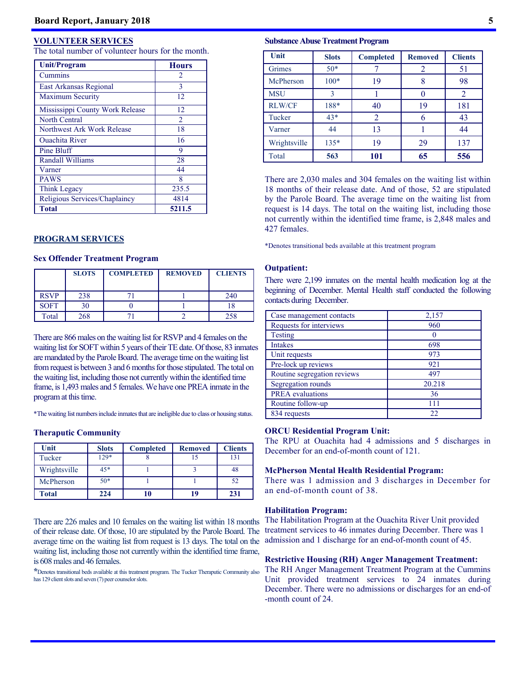#### **VOLUNTEER SERVICES**

The total number of volunteer hours for the month.

| <b>Unit/Program</b>             | <b>Hours</b>                |
|---------------------------------|-----------------------------|
| Cummins                         | $\mathcal{D}_{\mathcal{L}}$ |
| East Arkansas Regional          | 3                           |
| <b>Maximum Security</b>         | 12                          |
| Mississippi County Work Release | 12                          |
| <b>North Central</b>            | $\mathfrak{D}$              |
| Northwest Ark Work Release      | 18                          |
| <b>Ouachita River</b>           | 16                          |
| Pine Bluff                      | 9                           |
| <b>Randall Williams</b>         | 28                          |
| Varner                          | 44                          |
| <b>PAWS</b>                     | 8                           |
| Think Legacy                    | 235.5                       |
| Religious Services/Chaplaincy   | 4814                        |
| <b>Total</b>                    | 5211.5                      |

#### **PROGRAM SERVICES**

#### **Sex Offender Treatment Program**

|             | <b>SLOTS</b> | <b>COMPLETED</b> | <b>REMOVED</b> | <b>CLIENTS</b> |
|-------------|--------------|------------------|----------------|----------------|
| <b>RSVP</b> | 238          |                  |                | 240            |
| <b>SOFT</b> | 30           |                  |                |                |
| Total       | 268          |                  |                |                |

There are 866 males on the waiting list for RSVP and 4 females on the waiting list for SOFT within 5 years of their TE date. Of those, 83 inmates are mandated by the Parole Board. The average time on the waiting list from request is between 3 and 6 months for those stipulated. The total on the waiting list, including those not currently within the identified time frame, is 1,493 males and 5 females. We have one PREA inmate in the program at this time.

\*The waiting list numbers include inmates that are ineligible due to class or housing status.

#### **Theraputic Community**

| Unit         | <b>Slots</b> | <b>Completed</b> | <b>Removed</b> | <b>Clients</b> |
|--------------|--------------|------------------|----------------|----------------|
| Tucker       | $129*$       |                  | 15             | 131            |
| Wrightsville | 45*          |                  |                | 48             |
| McPherson    | $50*$        |                  |                | 52             |
| <b>Total</b> | 224          | 10               | 19             | 231            |

There are 226 males and 10 females on the waiting list within 18 months of their release date. Of those, 10 are stipulated by the Parole Board. The average time on the waiting list from request is 13 days. The total on the waiting list, including those not currently within the identified time frame, is 608 males and 46 females.

**\***Denotes transitional beds available at this treatment program. The Tucker Theraputic Community also has 129 client slots and seven (7) peer counselor slots.

#### **Substance Abuse Treatment Program**

| Unit          | <b>Slots</b> | <b>Completed</b> | <b>Removed</b> | <b>Clients</b> |
|---------------|--------------|------------------|----------------|----------------|
| Grimes        | $50*$        |                  | 2              | 51             |
| McPherson     | $100*$       | 19               | 8              | 98             |
| <b>MSU</b>    | 3            |                  |                | 2              |
| <b>RLW/CF</b> | 188*         | 40               | 19             | 181            |
| Tucker        | $43*$        | 2                | 6              | 43             |
| Varner        | 44           | 13               |                | 44             |
| Wrightsville  | $135*$       | 19               | 29             | 137            |
| Total         | 563          | 101              | 65             | 556            |

There are 2,030 males and 304 females on the waiting list within 18 months of their release date. And of those, 52 are stipulated by the Parole Board. The average time on the waiting list from request is 14 days. The total on the waiting list, including those not currently within the identified time frame, is 2,848 males and 427 females.

\*Denotes transitional beds available at this treatment program

#### **Outpatient:**

There were 2,199 inmates on the mental health medication log at the beginning of December. Mental Health staff conducted the following contacts during December.

| Case management contacts    | 2,157  |
|-----------------------------|--------|
| Requests for interviews     | 960    |
| <b>Testing</b>              |        |
| <b>Intakes</b>              | 698    |
| Unit requests               | 973    |
| Pre-lock up reviews         | 921    |
| Routine segregation reviews | 497    |
| Segregation rounds          | 20.218 |
| <b>PREA</b> evaluations     | 36     |
| Routine follow-up           | 111    |
| 834 requests                | 22     |

#### **ORCU Residential Program Unit:**

The RPU at Ouachita had 4 admissions and 5 discharges in December for an end-of-month count of 121.

#### **McPherson Mental Health Residential Program:**

There was 1 admission and 3 discharges in December for an end-of-month count of 38.

#### **Habilitation Program:**

The Habilitation Program at the Ouachita River Unit provided treatment services to 46 inmates during December. There was 1 admission and 1 discharge for an end-of-month count of 45.

#### **Restrictive Housing (RH) Anger Management Treatment:**

The RH Anger Management Treatment Program at the Cummins Unit provided treatment services to 24 inmates during December. There were no admissions or discharges for an end-of -month count of 24.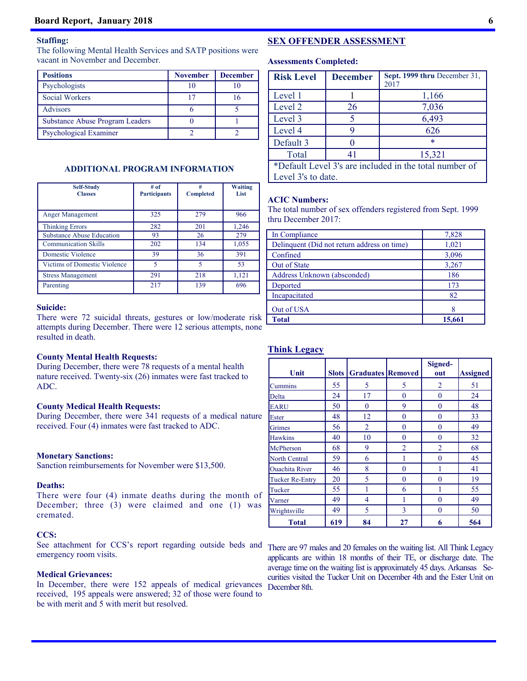#### **Staffing:**

The following Mental Health Services and SATP positions were vacant in November and December.

| <b>Positions</b>                       | <b>November</b> | <b>December</b> |
|----------------------------------------|-----------------|-----------------|
| Psychologists                          |                 |                 |
| <b>Social Workers</b>                  | 17              |                 |
| <b>Advisors</b>                        |                 |                 |
| <b>Substance Abuse Program Leaders</b> |                 |                 |
| Psychological Examiner                 |                 |                 |

#### **ADDITIONAL PROGRAM INFORMATION**

| <b>Self-Study</b><br><b>Classes</b> | # of<br><b>Participants</b> | #<br><b>Completed</b>    | <b>Waiting</b><br>List |
|-------------------------------------|-----------------------------|--------------------------|------------------------|
| Anger Management                    | 325                         | 279                      | 966                    |
| <b>Thinking Errors</b>              | 282                         | 201                      | 1,246                  |
| <b>Substance Abuse Education</b>    | 93                          | 26                       | 279                    |
| <b>Communication Skills</b>         | 202                         | 134                      | 1,055                  |
| Domestic Violence                   | 39                          | 36                       | 391                    |
| Victims of Domestic Violence        | $\overline{\phantom{0}}$    | $\overline{\phantom{0}}$ | 53                     |
| <b>Stress Management</b>            | 291                         | 218                      | 1,121                  |
| Parenting                           | 217                         | 139                      | 696                    |

#### **Suicide:**

There were 72 suicidal threats, gestures or low/moderate risk attempts during December. There were 12 serious attempts, none resulted in death.

#### **County Mental Health Requests:**

During December, there were 78 requests of a mental health nature received. Twenty-six (26) inmates were fast tracked to ADC.

#### **County Medical Health Requests:**

During December, there were 341 requests of a medical nature received. Four (4) inmates were fast tracked to ADC.

#### **Monetary Sanctions:**

Sanction reimbursements for November were \$13,500.

#### **Deaths:**

There were four (4) inmate deaths during the month of December; three (3) were claimed and one (1) was cremated.

#### **CCS:**

See attachment for CCS's report regarding outside beds and emergency room visits.

#### **Medical Grievances:**

In December, there were 152 appeals of medical grievances received, 195 appeals were answered; 32 of those were found to be with merit and 5 with merit but resolved.

#### **SEX OFFENDER ASSESSMENT**

#### **Assessments Completed:**

| <b>Risk Level</b>                                      | <b>December</b>    | Sept. 1999 thru December 31. |  |  |  |  |  |  |  |  |
|--------------------------------------------------------|--------------------|------------------------------|--|--|--|--|--|--|--|--|
|                                                        |                    | 2017                         |  |  |  |  |  |  |  |  |
| Level 1                                                |                    | 1,166                        |  |  |  |  |  |  |  |  |
| Level 2                                                | 26                 | 7,036                        |  |  |  |  |  |  |  |  |
| Level 3                                                | 5                  | 6,493                        |  |  |  |  |  |  |  |  |
| Level 4                                                | 9                  | 626                          |  |  |  |  |  |  |  |  |
| Default 3                                              | 0                  | *                            |  |  |  |  |  |  |  |  |
| Total                                                  | 41                 | 15,321                       |  |  |  |  |  |  |  |  |
| *Default Level 3's are included in the total number of |                    |                              |  |  |  |  |  |  |  |  |
|                                                        | Level 3's to date. |                              |  |  |  |  |  |  |  |  |

#### **ACIC Numbers:**

The total number of sex offenders registered from Sept. 1999 thru December 2017:

| In Compliance                               | 7,828  |
|---------------------------------------------|--------|
| Delinquent (Did not return address on time) | 1,021  |
| Confined                                    | 3,096  |
| Out of State                                | 3,267  |
| Address Unknown (absconded)                 | 186    |
| Deported                                    | 173    |
| Incapacitated                               | 82     |
| Out of USA                                  |        |
| <b>Total</b>                                | 15,661 |

#### **Think Legacy**

|                        |              |                          |                | Signed-  |                 |
|------------------------|--------------|--------------------------|----------------|----------|-----------------|
| Unit                   | <b>Slots</b> | <b>Graduates Removed</b> |                | out      | <b>Assigned</b> |
| Cummins                | 55           | 5                        | 5              | 2        | 51              |
| Delta                  | 24           | 17                       | $\Omega$       | $\Omega$ | 24              |
| <b>EARU</b>            | 50           | $\theta$                 | 9              | 0        | 48              |
| Ester                  | 48           | 12                       | 0              | 0        | 33              |
| Grimes                 | 56           | $\overline{2}$           | $\theta$       | 0        | 49              |
| <b>Hawkins</b>         | 40           | 10                       | 0              | 0        | 32              |
| McPherson              | 68           | 9                        | $\overline{2}$ | 2        | 68              |
| North Central          | 59           | 6                        |                | 0        | 45              |
| <b>Ouachita River</b>  | 46           | 8                        | 0              |          | 41              |
| <b>Tucker Re-Entry</b> | 20           | 5                        | 0              | 0        | 19              |
| Tucker                 | 55           |                          | 6              |          | 55              |
| Varner                 | 49           | 4                        |                | 0        | 49              |
| Wrightsville           | 49           | 5                        | 3              | 0        | 50              |
| Total                  | 619          | 84                       | 27             | 6        | 564             |

There are 97 males and 20 females on the waiting list. All Think Legacy applicants are within 18 months of their TE, or discharge date. The average time on the waiting list is approximately 45 days. Arkansas Securities visited the Tucker Unit on December 4th and the Ester Unit on December 8th.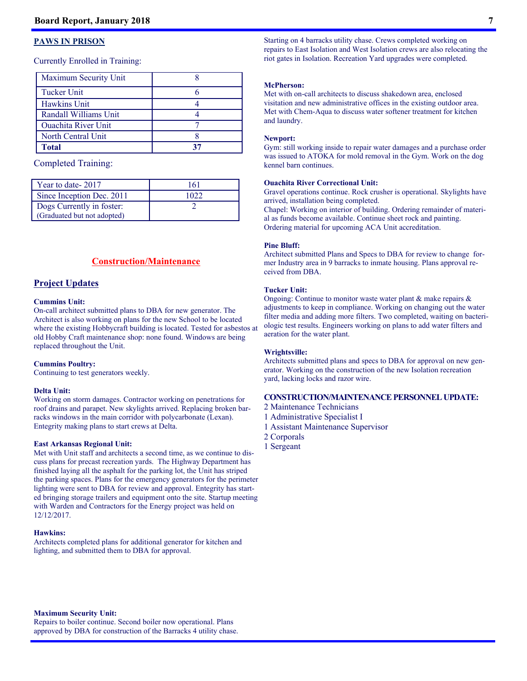#### **PAWS IN PRISON**

Currently Enrolled in Training:

| Maximum Security Unit      |    |
|----------------------------|----|
| <b>Tucker Unit</b>         |    |
| <b>Hawkins Unit</b>        |    |
| Randall Williams Unit      |    |
| <b>Ouachita River Unit</b> |    |
| North Central Unit         |    |
| Total                      | 37 |

#### Completed Training:

| Year to date-2017           | 161  |
|-----------------------------|------|
| Since Inception Dec. 2011   | .022 |
| Dogs Currently in foster:   |      |
| (Graduated but not adopted) |      |

#### **Construction/Maintenance**

#### **Project Updates**

#### **Cummins Unit:**

On-call architect submitted plans to DBA for new generator. The Architect is also working on plans for the new School to be located where the existing Hobbycraft building is located. Tested for asbestos at old Hobby Craft maintenance shop: none found. Windows are being replaced throughout the Unit.

#### **Cummins Poultry:**

Continuing to test generators weekly.

#### **Delta Unit:**

Working on storm damages. Contractor working on penetrations for roof drains and parapet. New skylights arrived. Replacing broken barracks windows in the main corridor with polycarbonate (Lexan). Entegrity making plans to start crews at Delta.

#### **East Arkansas Regional Unit:**

Met with Unit staff and architects a second time, as we continue to discuss plans for precast recreation yards. The Highway Department has finished laying all the asphalt for the parking lot, the Unit has striped the parking spaces. Plans for the emergency generators for the perimeter lighting were sent to DBA for review and approval. Entegrity has started bringing storage trailers and equipment onto the site. Startup meeting with Warden and Contractors for the Energy project was held on 12/12/2017.

#### **Hawkins:**

Architects completed plans for additional generator for kitchen and lighting, and submitted them to DBA for approval.

Starting on 4 barracks utility chase. Crews completed working on repairs to East Isolation and West Isolation crews are also relocating the riot gates in Isolation. Recreation Yard upgrades were completed.

#### **McPherson:**

Met with on-call architects to discuss shakedown area, enclosed visitation and new administrative offices in the existing outdoor area. Met with Chem-Aqua to discuss water softener treatment for kitchen and laundry.

#### **Newport:**

Gym: still working inside to repair water damages and a purchase order was issued to ATOKA for mold removal in the Gym. Work on the dog kennel barn continues.

#### **Ouachita River Correctional Unit:**

Gravel operations continue. Rock crusher is operational. Skylights have arrived, installation being completed.

Chapel: Working on interior of building. Ordering remainder of material as funds become available. Continue sheet rock and painting. Ordering material for upcoming ACA Unit accreditation.

#### **Pine Bluff:**

Architect submitted Plans and Specs to DBA for review to change former Industry area in 9 barracks to inmate housing. Plans approval received from DBA.

#### **Tucker Unit:**

Ongoing: Continue to monitor waste water plant & make repairs & adjustments to keep in compliance. Working on changing out the water filter media and adding more filters. Two completed, waiting on bacteriologic test results. Engineers working on plans to add water filters and aeration for the water plant.

#### **Wrightsville:**

Architects submitted plans and specs to DBA for approval on new generator. Working on the construction of the new Isolation recreation yard, lacking locks and razor wire.

#### **CONSTRUCTION/MAINTENANCE PERSONNEL UPDATE:**

- 2 Maintenance Technicians
- 1 Administrative Specialist I
- 1 Assistant Maintenance Supervisor
- 2 Corporals
- 1 Sergeant

**Maximum Security Unit:**  Repairs to boiler continue. Second boiler now operational. Plans approved by DBA for construction of the Barracks 4 utility chase.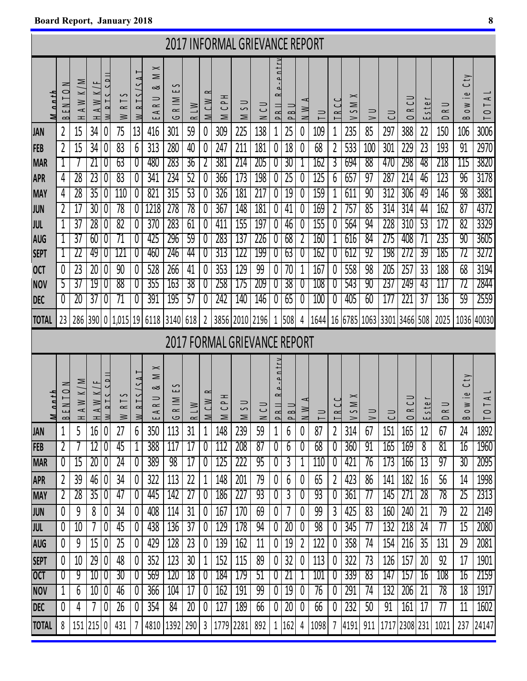the control of the control of the control of

|                                     |                                                      |                                       |                         |                |                                      |                                       |                                                                                               |                            |                 |                    | <b>2017 INFORMAL GRIEVANCE REPORT</b> |                         |             |                                                                     |                          |                       |                           |          |                                                           |                         |                                             |                                |                                    |                                        |                                          |                                                       |
|-------------------------------------|------------------------------------------------------|---------------------------------------|-------------------------|----------------|--------------------------------------|---------------------------------------|-----------------------------------------------------------------------------------------------|----------------------------|-----------------|--------------------|---------------------------------------|-------------------------|-------------|---------------------------------------------------------------------|--------------------------|-----------------------|---------------------------|----------|-----------------------------------------------------------|-------------------------|---------------------------------------------|--------------------------------|------------------------------------|----------------------------------------|------------------------------------------|-------------------------------------------------------|
| M n n t h                           | $\geq$<br>$\subset$<br>$\geq$<br>$\approx$           | $\leq$<br>⊻<br>$\geq$<br>$\prec$<br>ᆂ | $W$ K/F<br>$\prec$<br>ᆂ | M R T S S D II | S<br>$\vdash$<br>$\approx$<br>$\geq$ | ۳<br>R <sub>T</sub><br>$\geq$         | $\mathord{\vphantom{1}}^{\mathbf{<}}$<br>⋝<br>∞<br>$\Rightarrow$<br>$\approx$<br>$\prec$<br>ш | S<br>سا<br>$R \mid M$<br>ပ | $R \perp W$     | $\approx$<br>M C W | ᆍ<br>$\sim$<br>$\cup$<br>$\geq$       | $\frac{1}{2}$<br>$\geq$ | こ<br>$\geq$ | $-9$ ntr<br>d<br>$\sim$<br><b>PRIL</b>                              | $\infty$<br>$\sim$       | ↵<br>$\geq$<br>$\geq$ | $\Rightarrow$<br>$\vdash$ | $\sim$   | $\mathord{\vphantom{1}}^{\mathbf{<}}$<br>⋝<br>S<br>$\geq$ | $\Rightarrow$<br>$\geq$ | $\Rightarrow$<br>$\cup$                     | $\cup$<br>$\approx$<br>$\circ$ | e<br>$\overline{\phantom{0}}$<br>ш | $\Rightarrow$<br>$\approx$<br>$\Omega$ | Cty<br>.உ<br>$\geq$<br>$\circ$<br>$\sim$ | $\prec$<br>$\overline{a}$<br>$\circ$                  |
| <b>JAN</b>                          | 2                                                    | 15                                    | 34                      | 0              | 75                                   | 13                                    | 416                                                                                           | 301                        | 59              | 0                  | 309                                   | 225                     | 138         | 1                                                                   | 25                       | 0                     | 109                       |          | 235                                                       | 85                      | 297                                         | 388                            | 22                                 | 150                                    | 106                                      | 3006                                                  |
| <b>FEB</b>                          | 2                                                    | 15                                    | 34                      | 0              | 83                                   | 6                                     | 313                                                                                           | 280                        | 40              | 0                  | 247                                   | 211                     | 181         | 0                                                                   | 18                       | 0                     | 68                        | 2        | 533                                                       | 100                     | 301                                         | 229                            | 23                                 | 193                                    | 91                                       | 2970                                                  |
| <b>MAR</b>                          |                                                      |                                       | 21                      | U              | 63                                   | 0 <sup>1</sup>                        | 480                                                                                           | 283                        | 36              |                    | 381                                   | 214                     | 205         | O                                                                   | 30                       |                       | 162                       | 3        | 694                                                       | 88                      | 470                                         | 298                            | 48                                 | 218                                    | 115                                      | 3820                                                  |
| <b>APR</b>                          | 4                                                    | 28                                    | 23                      | 0              | 83                                   | 0                                     | 341                                                                                           | 234                        | 52              | 0                  | 366                                   | 173                     | 198         | 0                                                                   | $\overline{25}$          | 0                     | 125                       | 6        | 657                                                       | 97                      | 287                                         | 214                            | 46                                 | 123                                    | 96                                       | 3178                                                  |
| <b>MAY</b>                          | 4                                                    | 28                                    | 35                      | 0              | 110                                  | 0                                     | 821                                                                                           | 315                        | 53              | 0                  | 326                                   | 181                     | 217         | 0                                                                   | 19                       | 0                     | 159                       |          | 611                                                       | 90                      | 312                                         | 306                            | 49                                 | 146                                    | 98                                       | 3881                                                  |
| <b>JUN</b>                          |                                                      | 17                                    | 30                      | 0              | $\overline{78}$                      | 0                                     | 1218                                                                                          | 278                        | $\overline{78}$ | 0                  | 367                                   | 148                     | 181         | 0                                                                   | 41                       | 0                     | 169                       | 2        | 757                                                       | 85                      | 314                                         | 314                            | 44                                 | 162                                    | 87                                       | 4372                                                  |
| <b>JUL</b>                          |                                                      | $\overline{37}$                       | 28                      | 0              | 82                                   | 0                                     | 370                                                                                           | 283                        | 61              | 0                  | 411                                   | 155                     | 197         | 0                                                                   | 46                       |                       | 155                       |          | 564                                                       | 94                      | 228                                         | 310                            | 53                                 | 172                                    | 82                                       | 3329                                                  |
| <b>AUG</b>                          |                                                      | 37                                    | 60                      |                | 71                                   | U                                     | 425                                                                                           | 296                        | 59              | 0                  | 283                                   | 137                     | 226         | U                                                                   | 68                       |                       | 160                       |          | 616                                                       | 84                      | 275                                         | 408                            | 71                                 | 235                                    | 90                                       | 3605                                                  |
| <b>SEPT</b>                         |                                                      | 22                                    | 49                      |                | 121                                  |                                       | 460                                                                                           | 246                        | 44              |                    | 313                                   | 122                     | 199         | U                                                                   | 63                       |                       | 162                       |          | 612                                                       | 92                      | 198                                         | 272                            | 39                                 | 185                                    | 72                                       | 3272                                                  |
| <b>OCT</b>                          | $\theta$                                             | 23                                    | 20                      | 0              | 90                                   | 0                                     | 528                                                                                           | 266                        | 41              | 0                  | 353                                   | 129                     | 99          | 0                                                                   | 70                       |                       | 167                       |          | 558                                                       | 98                      | 205                                         | 257                            | 33                                 | 188                                    | 68                                       | 3194                                                  |
| <b>NOV</b>                          | 5                                                    | 37                                    | 19                      |                | 88                                   |                                       | 355                                                                                           | 163                        | 38              |                    | 258                                   | 175                     | 209         | O                                                                   | 38                       |                       | 108                       |          | 543                                                       | 90                      | 237                                         | 249                            | 43                                 | 117                                    | 72                                       | 2844                                                  |
| <b>DEC</b>                          | $\theta$                                             | 20                                    | 37                      |                | 71                                   | 0                                     | 391                                                                                           | 195                        | 57              |                    | 242                                   | 140                     | 146         | 0                                                                   | 65                       | 0                     | 100                       |          | 405                                                       | 60                      | 177                                         | 221                            | 37                                 | 136                                    | 59                                       | 2559                                                  |
| <b>TOTAL</b>                        | 23                                                   | 286 390                               |                         |                | 0 1,015 19                           |                                       | 6118                                                                                          | 3140                       | 618             | 2 <sup>1</sup>     |                                       | 3856 2010 2196          |             | $\mathbf{1}$                                                        | 508                      | 4                     |                           |          |                                                           |                         | 1644   16   6785   1063   3301   3466   508 |                                |                                    | 2025                                   |                                          | 1036 40030                                            |
| <b>2017 FORMAL GRIEVANCE REPORT</b> |                                                      |                                       |                         |                |                                      |                                       |                                                                                               |                            |                 |                    |                                       |                         |             |                                                                     |                          |                       |                           |          |                                                           |                         |                                             |                                |                                    |                                        |                                          |                                                       |
|                                     |                                                      |                                       |                         |                |                                      |                                       |                                                                                               |                            |                 |                    |                                       |                         |             |                                                                     |                          |                       |                           |          |                                                           |                         |                                             |                                |                                    |                                        |                                          |                                                       |
| $n$ n th<br>≥                       | $\geq$<br>$\overline{\phantom{0}}$<br>.<br>EN ∃<br>മ | $\leq$<br>$\cong$<br>ᆂ                | $AW$ K/F<br>ᅿ           | <b>MRTSSDI</b> | S<br>$\vdash$<br>$\approx$<br>$\geq$ | $\checkmark$<br>$R_{\perp}$<br>$\geq$ | $\mathord{\vphantom{1}}^{\text{}}$<br>⋝<br>∞<br>$\Rightarrow$<br>$\approx$<br>$\prec$<br>سا   | ပ<br>ш<br>R IM<br>ن        |                 | $\approx$          | ᆍ<br>c<br>C<br>Σ                      | $\frac{1}{2}$<br>$\geq$ | こ<br>$\geq$ | -entrv<br>d<br>$\sim$<br>$\overline{a}$<br>$\overline{\phantom{a}}$ | $\overline{B}$<br>$\sim$ | ⋖<br>N W              | $\overline{\phantom{0}}$  |          | $\asymp$<br>$\geq$<br>$\sim$<br>$\geq$                    | $\Rightarrow$<br>$\geq$ | $\Rightarrow$<br>$\cup$                     | ن)<br>$\approx$<br>$\circ$     | 5 <sup>1</sup><br>ш                | ⋍<br>$\approx$<br>$\Omega$             | Cty<br>.உ<br>$\geq$<br>$\circ$<br>$\sim$ | $\overline{1}$<br>$\circ$<br>$\overline{\phantom{0}}$ |
| <b>JAN</b>                          | 1                                                    | 5                                     | 16                      | 0              | 27                                   | 6                                     | 350                                                                                           | 113                        | R L W<br>31     | M C W<br>1         | 148                                   | 239                     | 59          | 1                                                                   | 6                        | 0                     | 87                        | TRC<br>2 | 314                                                       | 67                      | 151                                         | 165                            | 12                                 | 67                                     | 24                                       | 1892                                                  |
| <b>FEB</b>                          | 2                                                    |                                       | 12                      | 0              | 45                                   |                                       | 388                                                                                           | 117                        | 17              | 0                  | 112                                   | 208                     | 87          | 0                                                                   | 6                        | 0                     | 68                        |          | 360                                                       | 91                      | 165                                         | 169                            | 8                                  | 81                                     | 16                                       | 1960                                                  |
| <b>MAR</b>                          | U                                                    | 15                                    | 20                      | 0              | 24                                   | $\mathbf 0$                           | 389                                                                                           | 98                         | 17              | 0                  | 125                                   | 222                     | 95          | 0                                                                   | 3                        |                       | 110                       |          | 421                                                       | 76                      | 173                                         | 166                            | 13                                 | 97                                     | 30                                       | 2095                                                  |
| <b>APR</b>                          | 2                                                    | 39                                    | 46                      | 0              | 34                                   | 0                                     | 322                                                                                           | 113                        | 22              | 1                  | 148                                   | 201                     | 79          | 0                                                                   | 6                        | 0                     | 65                        | 2        | 423                                                       | 86                      | 141                                         | 182                            | 16                                 | 56                                     | 14                                       | 1998                                                  |
| <b>MAY</b>                          | 2                                                    | 28                                    | 35                      | 0              | 47                                   | 0                                     | 445                                                                                           | 142                        | $\overline{27}$ | 0                  | 186                                   | 227                     | 93          | 0                                                                   | 3                        | 0                     | 93                        | O        | 361                                                       | 77                      | 145                                         | 271                            | 28                                 | 78                                     | 25                                       | 2313                                                  |
| <b>JUN</b>                          | 0                                                    | 9                                     | 8                       | 0              | 34                                   | 0                                     | 408                                                                                           | 114                        | 31              | 0                  | 167                                   | 170                     | 69          | 0                                                                   | 7                        | 0                     | 99                        | 3        | 425                                                       | 83                      | 160                                         | 240                            | 21                                 | 79                                     | 22                                       | 2149                                                  |
| JUL                                 | 0                                                    | 10                                    | 7                       | 0              | 45                                   | 0                                     | 438                                                                                           | 136                        | $\overline{37}$ | 0                  | 129                                   | 178                     | 94          | 0                                                                   | 20                       | 0                     | 98                        |          | 345                                                       | 77                      | 132                                         | 218                            | 24                                 | 77                                     | 15                                       | 2080                                                  |
| <b>AUG</b>                          | 0                                                    | 9                                     | 15                      | 0              | 25                                   | 0                                     | 429                                                                                           | 128                        | 23              | 0                  | 139                                   | 162                     | 11          | 0                                                                   | 19                       | 2                     | 122                       | 0        | 358                                                       | 74                      | 154                                         | 216                            | 35                                 | 131                                    | 29                                       | 2081                                                  |
| <b>SEPT</b>                         | 0                                                    | 10                                    | 29                      | 0              | 48                                   | 0                                     | 352                                                                                           | 123                        | 30              | 1                  | 152                                   | 115                     | 89          | 0                                                                   | 32                       | 0                     | 113                       | 0        | 322                                                       | 73                      | 126                                         | 157                            | 20                                 | 92                                     | 17                                       | 1901                                                  |
| <b>OCT</b>                          | U                                                    | 9                                     | 10 <sub>1</sub>         | 0              | 30                                   | 0                                     | 569                                                                                           | 120                        | 18              | $\mathbf 0$        | 184                                   | 179                     | 51          | $\theta$                                                            | 21                       |                       | 101                       | U        | 339                                                       | 83                      | 147                                         | 157                            | 16                                 | 108                                    | 16                                       | 2159                                                  |
| <b>NOV</b>                          |                                                      | 6                                     | 10                      | 0              | 46                                   | $\theta$                              | 366                                                                                           | 104                        | 17              | 0                  | 162                                   | 191                     | 99          | 0                                                                   | 19                       | 0                     | 76                        | Ü        | 291                                                       | 74                      | 132                                         | 206                            | 21                                 | 78                                     | 18                                       | 1917                                                  |
| <b>DEC</b>                          | 0                                                    | 4                                     | 7                       | 0              | 26                                   | 0                                     | 354                                                                                           | 84                         | 20              | 0                  | 127                                   | 189                     | 66          | 0                                                                   | 20                       | 0                     | 66                        |          | 232                                                       | 50                      | 91                                          | 161                            | 17                                 | 77                                     | 11                                       | 1602                                                  |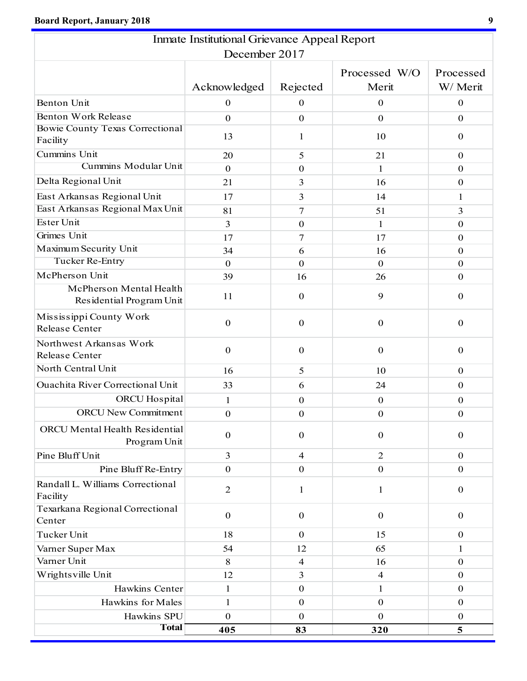|                                                     | <b>Inmate Institutional Grievance Appeal Report</b> |                  |                          |                       |
|-----------------------------------------------------|-----------------------------------------------------|------------------|--------------------------|-----------------------|
|                                                     | December 2017                                       |                  |                          |                       |
|                                                     | Acknowledged                                        | Rejected         | Processed W/O<br>Merit   | Processed<br>W/ Merit |
| Benton Unit                                         | $\boldsymbol{0}$                                    | 0                | $\boldsymbol{0}$         | $\boldsymbol{0}$      |
| <b>Benton Work Release</b>                          | $\overline{0}$                                      | $\mathbf{0}$     | $\mathbf{0}$             | $\overline{0}$        |
| <b>Bowie County Texas Correctional</b><br>Facility  | 13                                                  | 1                | 10                       | $\mathbf{0}$          |
| Cummins Unit                                        | 20                                                  | 5                | 21                       | $\overline{0}$        |
| Cummins Modular Unit                                | $\mathbf{0}$                                        | $\mathbf{0}$     | 1                        | $\mathbf{0}$          |
| Delta Regional Unit                                 | 21                                                  | 3                | 16                       | $\boldsymbol{0}$      |
| East Arkansas Regional Unit                         | 17                                                  | 3                | 14                       | 1                     |
| East Arkansas Regional Max Unit                     | 81                                                  | $\overline{7}$   | 51                       | 3                     |
| Ester Unit                                          | 3                                                   | $\mathbf{0}$     | 1                        | $\boldsymbol{0}$      |
| Grimes Unit                                         | 17                                                  | 7                | 17                       | $\boldsymbol{0}$      |
| Maximum Security Unit                               | 34                                                  | 6                | 16                       | $\mathbf{0}$          |
| Tucker Re-Entry                                     | $\mathbf{0}$                                        | $\mathbf{0}$     | $\mathbf{0}$             | $\boldsymbol{0}$      |
| McPherson Unit                                      | 39                                                  | 16               | 26                       | $\mathbf{0}$          |
| McPherson Mental Health<br>Residential Program Unit | 11                                                  | $\mathbf{0}$     | 9                        | $\boldsymbol{0}$      |
| Mississippi County Work<br>Release Center           | $\mathbf{0}$                                        | $\mathbf{0}$     | $\boldsymbol{0}$         | $\boldsymbol{0}$      |
| Northwest Arkansas Work<br>Release Center           | $\mathbf{0}$                                        | $\mathbf{0}$     | $\boldsymbol{0}$         | $\mathbf{0}$          |
| North Central Unit                                  | 16                                                  | 5                | 10                       | $\mathbf{0}$          |
| <b>Ouachita River Correctional Unit</b>             | 33                                                  | 6                | 24                       | $\mathbf{0}$          |
| <b>ORCU</b> Hospital                                | 1                                                   | $\mathbf{0}$     | $\boldsymbol{0}$         | $\mathbf{0}$          |
| <b>ORCU New Commitment</b>                          | $\boldsymbol{0}$                                    | $\boldsymbol{0}$ | $\boldsymbol{0}$         | $\boldsymbol{0}$      |
| ORCU Mental Health Residential<br>Program Unit      | $\mathbf{0}$                                        | $\boldsymbol{0}$ | $\boldsymbol{0}$         | $\boldsymbol{0}$      |
| Pine Bluff Unit                                     | $\overline{3}$                                      | $\overline{4}$   | $\overline{2}$           | $\boldsymbol{0}$      |
| Pine Bluff Re-Entry                                 | $\mathbf{0}$                                        | $\mathbf{0}$     | $\boldsymbol{0}$         | $\boldsymbol{0}$      |
| Randall L. Williams Correctional<br>Facility        | $\overline{2}$                                      | $\mathbf{1}$     | $\mathbf{1}$             | $\mathbf{0}$          |
| Texarkana Regional Correctional<br>Center           | $\boldsymbol{0}$                                    | $\boldsymbol{0}$ | $\boldsymbol{0}$         | $\boldsymbol{0}$      |
| Tucker Unit                                         | 18                                                  | $\overline{0}$   | 15                       | $\mathbf{0}$          |
| Varner Super Max                                    | 54                                                  | 12               | 65                       | 1                     |
| Varner Unit                                         | 8                                                   | $\overline{4}$   | 16                       | $\mathbf{0}$          |
| Wrights ville Unit                                  | 12                                                  | 3                | $\overline{\mathcal{A}}$ | $\boldsymbol{0}$      |
| Hawkins Center                                      | 1                                                   | $\mathbf{0}$     | 1                        | $\boldsymbol{0}$      |
| Hawkins for Males                                   | 1                                                   | $\mathbf{0}$     | $\boldsymbol{0}$         | $\mathbf{0}$          |
| Hawkins SPU                                         | $\mathbf{0}$                                        | $\mathbf{0}$     | $\mathbf{0}$             | $\boldsymbol{0}$      |
| <b>Total</b>                                        | 405                                                 | 83               | 320                      | 5                     |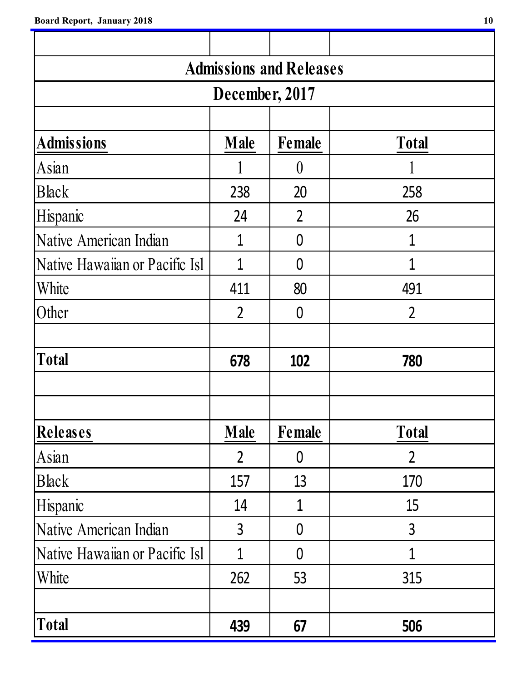| <b>Admissions and Releases</b> |                |                  |                |  |  |  |  |  |  |  |  |
|--------------------------------|----------------|------------------|----------------|--|--|--|--|--|--|--|--|
| December, 2017                 |                |                  |                |  |  |  |  |  |  |  |  |
|                                |                |                  |                |  |  |  |  |  |  |  |  |
| <b>Admissions</b>              | <b>Total</b>   |                  |                |  |  |  |  |  |  |  |  |
| Asian                          |                | $\left( \right)$ |                |  |  |  |  |  |  |  |  |
| <b>Black</b>                   | 238            | 20               | 258            |  |  |  |  |  |  |  |  |
| Hispanic                       | 24             | 2                | 26             |  |  |  |  |  |  |  |  |
| Native American Indian         | 1              | 0                | 1              |  |  |  |  |  |  |  |  |
| Native Hawaiian or Pacific Isl | 1              | 0                | 1              |  |  |  |  |  |  |  |  |
| White                          | 411            | 80               | 491            |  |  |  |  |  |  |  |  |
| Other                          | $\overline{2}$ | $\overline{0}$   | $\overline{2}$ |  |  |  |  |  |  |  |  |
|                                |                |                  |                |  |  |  |  |  |  |  |  |
| <b>Total</b>                   | 678            | 102              | 780            |  |  |  |  |  |  |  |  |
|                                |                |                  |                |  |  |  |  |  |  |  |  |
|                                |                |                  |                |  |  |  |  |  |  |  |  |
| Releases                       | <b>Male</b>    | Female           | <b>Total</b>   |  |  |  |  |  |  |  |  |
| Asian                          | $\overline{2}$ | $\overline{0}$   | $\overline{2}$ |  |  |  |  |  |  |  |  |
| <b>Black</b>                   | 157            | 13               | 170            |  |  |  |  |  |  |  |  |
| Hispanic                       | 14             | 1                | 15             |  |  |  |  |  |  |  |  |
| Native American Indian         | $\overline{3}$ | $\overline{0}$   | $\overline{3}$ |  |  |  |  |  |  |  |  |
| Native Hawaiian or Pacific Isl | 1              | $\overline{0}$   | 1              |  |  |  |  |  |  |  |  |
| White                          | 262            | 53               | 315            |  |  |  |  |  |  |  |  |
|                                |                |                  |                |  |  |  |  |  |  |  |  |
| <b>Total</b>                   | 439            | 67               | 506            |  |  |  |  |  |  |  |  |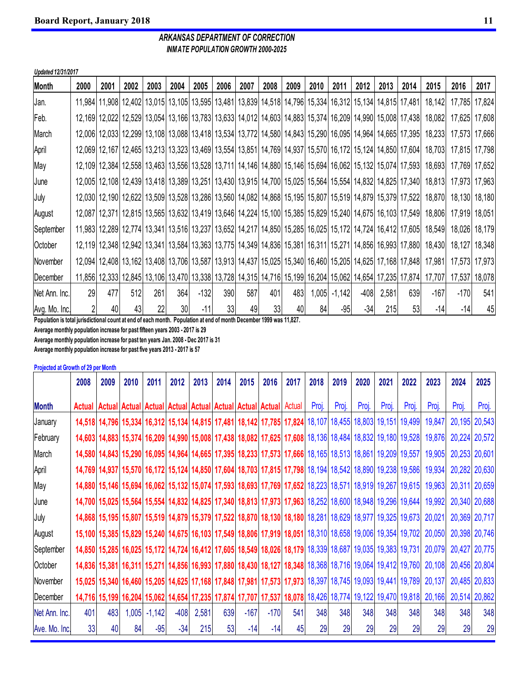#### *ARKANSAS DEPARTMENT OF CORRECTION INMATE POPULATION GROWTH 2000-2025*

| Updated 12/31/2017 |                 |      |      |      |                 |        |      |      |      |      |      |                |        |       |                                                                                                          |        |        |                 |
|--------------------|-----------------|------|------|------|-----------------|--------|------|------|------|------|------|----------------|--------|-------|----------------------------------------------------------------------------------------------------------|--------|--------|-----------------|
| Month              | 2000            | 2001 | 2002 | 2003 | 2004            | 2005   | 2006 | 2007 | 2008 | 2009 | 2010 | 2011           | 2012   | 2013  | 2014                                                                                                     | 2015   | 2016   | 2017            |
| Jan.               |                 |      |      |      |                 |        |      |      |      |      |      |                |        |       | 11,984 11,908 12,402 13,015 13,105 13,595 13,481 13,839 14,518 14,796 15,334 16,312 15,134 14,815 17,481 | 18,142 | 17,785 | 17,824          |
| Feb.               |                 |      |      |      |                 |        |      |      |      |      |      |                |        |       | 12,169 12,022 12,529 13,054 13,166 13,783 13,633 14,012 14,603 14,883 15,374 16,209 14,990 15,008 17,438 | 18,082 |        | 17,625   17,608 |
| March              |                 |      |      |      |                 |        |      |      |      |      |      |                |        |       | 12,006 12,033 12,299 13,108 13,088 13,418 13,534 13,772 14,580 14,843 15,290 16,095 14,964 14,665 17,395 | 18,233 |        | 17,573 17,666   |
| April              |                 |      |      |      |                 |        |      |      |      |      |      |                |        |       | 12,069 12,167 12,465 13,213 13,323 13,469 13,554 13,851 14,769 14,937 15,570 16,172 15,124 14,850 17,604 | 18,703 |        | 17,815 17,798   |
| May                |                 |      |      |      |                 |        |      |      |      |      |      |                |        |       | 12,109 12,384 12,558 13,463 13,556 13,528 13,711 14,146 14,880 15,146 15,694 16,062 15,132 15,074 17,593 | 18,693 |        | 17,769 17,652   |
| June               |                 |      |      |      |                 |        |      |      |      |      |      |                |        |       | 12,005 12,108 12,439 13,418 13,389 13,251 13,430 13,915 14,700 15,025 15,564 15,554 14,832 14,825 17,340 | 18,813 |        | 17,973 17,963   |
| July               |                 |      |      |      |                 |        |      |      |      |      |      |                |        |       | 12,030 12,190 12,622 13,509 13,528 13,286 13,560 14,082 14,868 15,195 15,807 15,519 14,879 15,379 17,522 | 18,870 |        | 18,130 18,180   |
| August             |                 |      |      |      |                 |        |      |      |      |      |      |                |        |       | 12,087 12,371 12,815 13,565 13,632 13,419 13,646 14,224 15,100 15,385 15,829 15,240 14,675 16,103 17,549 | 18,806 |        | 17,919 18,051   |
| September          |                 |      |      |      |                 |        |      |      |      |      |      |                |        |       | 11,983 12,289 12,774 13,341 13,516 13,237 13,652 14,217 14,850 15,285 16,025 15,172 14,724 16,412 17,605 | 18,549 |        | 18,026 18,179   |
| October            |                 |      |      |      |                 |        |      |      |      |      |      |                |        |       | 12,119 12,348 12,942 13,341 13,584 13,363 13,775 14,349 14,836 15,381 16,311 15,271 14,856 16,993 17,880 | 18,430 |        | 18,127  18,348  |
| November           |                 |      |      |      |                 |        |      |      |      |      |      |                |        |       | 12,094 12,408 13,162 13,408 13,706 13,587 13,913 14,437 15,025 15,340 16,460 15,205 14,625 17,168 17,848 | 17,981 |        | 17,573 17,973   |
| December           |                 |      |      |      |                 |        |      |      |      |      |      |                |        |       | 11,856 12,333 12,845 13,106 13,470 13,338 13,728 14,315 14,716 15,199 16,204 15,062 14,654 17,235 17,874 | 17,707 | 17,537 | 18,078          |
| Net Ann. Inc.      | 29 <sub>l</sub> | 477  | 512  | 261  | 364             | $-132$ | 390  | 587  | 401  | 483  |      | $1,005$ -1,142 | $-408$ | 2,581 | 639                                                                                                      | $-167$ | $-170$ | 541             |
| Avg. Mo. Inc.      | $\overline{2}$  | 40   | 43   | 22   | 30 <sub>l</sub> | $-11$  | 33   | 49   | 33   | 40   | 84   | $-95$          | $-34$  | 215   | 53                                                                                                       | $-14$  | $-14$  | 45              |

**Population is total jurisdictional count at end of each month. Population at end of month December 1999 was 11,827.**

**Average monthly population increase for past fifteen years 2003 - 2017 is 29**

**Average monthly population increase for past ten years Jan. 2008 - Dec 2017 is 31**

**Average monthly population increase for past five years 2013 - 2017 is 57**

**Projected at Growth of 29 per Month**

|               | 2008          | 2009 | 2010  | 2011     | 2012   | 2013                                                                                                            | 2014 | 2015   | 2016   | 2017   | 2018  | 2019  | 2020  | 2021  | 2022                                                                                                     | 2023   | 2024          | 2025          |
|---------------|---------------|------|-------|----------|--------|-----------------------------------------------------------------------------------------------------------------|------|--------|--------|--------|-------|-------|-------|-------|----------------------------------------------------------------------------------------------------------|--------|---------------|---------------|
| <b>Month</b>  | <b>Actual</b> |      |       |          |        | Actual Actual Actual Actual Actual Actual Actual Actual                                                         |      |        |        | Actual | Proj. | Proj. | Proj. | Proj. | Proj.                                                                                                    | Proj.  | Proj.         | Proj.         |
| January       |               |      |       |          |        |                                                                                                                 |      |        |        |        |       |       |       |       | 14,518 14,796 15,334 16,312 15,134 14,815 17,481 18,142 17,785 17,824 18,107 18,455 18,803 19,151 19,499 | 19,847 |               | 20,195 20,543 |
| February      |               |      |       |          |        |                                                                                                                 |      |        |        |        |       |       |       |       | 14,603 14,883 15,374 16,209 14,990 15,008 17,438 18,082 17,625 17,608 18,136 18,484 18,832 19,180 19,528 | 19,876 |               | 20,224 20,572 |
| March         |               |      |       |          |        | 14,580 14,843 15,290 16,095 14,964 14,665 17,395 18,233 17,573 17,666 18,165 18,513 18,861 19,209 19,557        |      |        |        |        |       |       |       |       |                                                                                                          | 19,905 |               | 20,253 20,601 |
| April         |               |      |       |          |        |                                                                                                                 |      |        |        |        |       |       |       |       | 14,769 14,937 15,570 16,172 15,124 14,850 17,604 18,703 17,815 17,798 18,194 18,542 18,890 19,238 19,586 | 19,934 |               | 20,282 20,630 |
| May           |               |      |       |          |        |                                                                                                                 |      |        |        |        |       |       |       |       | 14,880 15,146 15,694 16,062 15,132 15,074 17,593 18,693 17,769 17,652 18,223 18,571 18,919 19,267 19,615 | 19,963 |               | 20,311 20,659 |
| June          |               |      |       |          |        |                                                                                                                 |      |        |        |        |       |       |       |       | 14,700 15,025 15,564 15,554 14,832 14,825 17,340 18,813 17,973 17,963 18,252 18,600 18,948 19,296 19,644 | 19,992 |               | 20,340 20,688 |
| July          |               |      |       |          |        |                                                                                                                 |      |        |        |        |       |       |       |       | 14,868 15,195 15,807 15,519 14,879 15,379 17,522 18,870 18,130 18,180 18,281 18,629 18,977 19,325 19,673 | 20,021 |               | 20,369 20,717 |
| August        |               |      |       |          |        |                                                                                                                 |      |        |        |        |       |       |       |       | 15,100 15,385 15,829 15,240 14,675 16,103 17,549 18,806 17,919 18,051 18,310 18,658 19,006 19,354 19,702 | 20,050 |               | 20,398 20,746 |
| September     |               |      |       |          |        | 14,724 16,412 16,025 16,025 16,172 14,724 16,412 17,605 18,549 18,026 18,179 18,339 18,687 19,035 19,383 19,731 |      |        |        |        |       |       |       |       |                                                                                                          | 20,079 |               | 20,427 20,775 |
| October       |               |      |       |          |        |                                                                                                                 |      |        |        |        |       |       |       |       | 14,836 15,381 16,311 15,271 14,856 16,993 17,880 18,430 18,127 18,348 18,368 18,716 19,064 19,412 19,760 | 20,108 |               | 20,456 20,804 |
| November      |               |      |       |          |        |                                                                                                                 |      |        |        |        |       |       |       |       | 15,025 15,340 16,460 15,205 14,625 17,168 17,848 17,981 17,573 17,973 18,397 18,745 19,093 19,441 19,789 | 20,137 |               | 20,485 20,833 |
| December      |               |      |       |          |        |                                                                                                                 |      |        |        |        |       |       |       |       | 14,716 15,199 16,204 15,062 14,654 17,235 17,874 17,707 17,537 18,078 18,426 18,774 19,122 19,470 19,818 | 20,166 | 20,514 20,862 |               |
| Net Ann. Inc. | 401           | 483  | 1,005 | $-1,142$ | $-408$ | 2,581                                                                                                           | 639  | $-167$ | $-170$ | 541    | 348   | 348   | 348   | 348   | 348                                                                                                      | 348    | 348           | 348           |
| Ave. Mo. Inc. | 33            | 40   | 84    | $-95$    | $-34$  | 215                                                                                                             | 53   | $-14$  | $-14$  | 45     | 29    | 29    | 29    | 29    | 29                                                                                                       | 29     | 29            | 29            |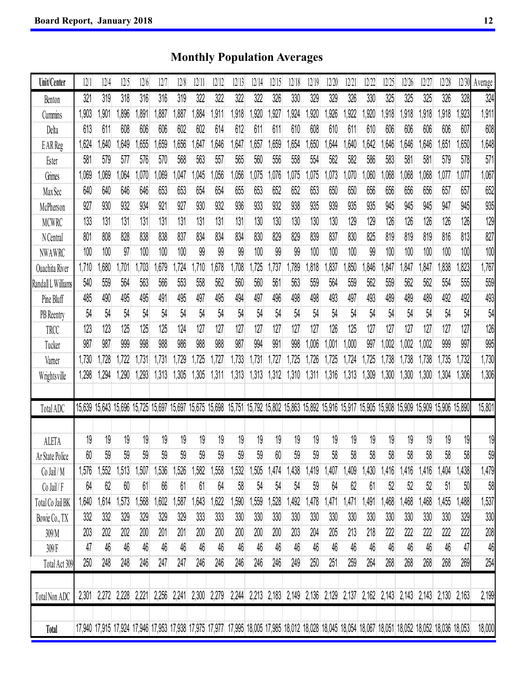**Unit/Center** 12/1 12/4 12/5 12/6 12/7 12/8 12/11 12/12 12/13 12/14 12/15 12/18 12/19 12/20 12/21 12/22 12/25 12/26 12/27 12/28 12/30 Average Benton 321 319 318 316 316 319 322 322 322 322 326 330 329 329 326 330 325 325 325 326 328 324 Cummins 1,903 1,901 1,896 1,891 1,887 1,887 1,884 1,911 1,918 1,920 1,927 1,924 1,920 1,926 1,922 1,920 1,918 1,918 1,918 1,918 1,923 1,911 Delta 613 611 608 606 606 602 602 614 612 611 611 610 608 610 611 610 606 606 606 606 607 608 EAK.Reg | 1,024 1,040 1,049 1,030 1,039 1,030 1,047 1,040 1,047 1,037 1,039 1,034 1,030 1,044 1,040 1,040 1,040 1,040 1,040 1,051 1,050 1,050 1,040 Ester 581 579 577 576 570 568 563 557 565 560 556 558 554 562 582 586 583 581 581 579 578 571 Grimes 1,069 1,069 1,064 1,070 1,069 1,047 1,045 1,056 1,056 1,075 1,076 1,075 1,075 1,073 1,070 1,060 1,068 1,068 1,068 1,077 1,077 1,067 MAX SEC | 040 640 640 640 653 653 654 654 655 655 652 652 653 650 650 650 650 650 650 650 661 652 652 652 McPherson 927 930 932 934 921 927 930 932 936 933 932 938 935 939 935 935 945 945 945 947 945 935 MCWRC 133 131 131 131 131 131 131 131 131 130 130 130 130 130 129 129 126 126 126 126 126 129 N Central 801 808 828 838 838 837 834 834 834 830 829 829 839 837 830 825 819 819 819 816 813 827 NWAWRC 100 100 97 100 100 100 99 99 99 100 99 99 100 100 100 99 100 100 100 100 100 100 Ouachita River 1,710 1,680 1,701 1,703 1,679 1,724 1,710 1,678 1,708 1,725 1,737 1,789 1,818 1,837 1,850 1,846 1,847 1,847 1,847 1,838 1,823 1,767 RANQAILL M.IIIAMS 1940 504 504 509 500 502 500 502 500 500 500 501 562 563 564 5639 562 563 562 562 5634 5639 Pine Bluff 485 490 495 495 491 495 497 495 494 497 496 498 498 493 497 493 489 489 489 492 492 493 PB Reentry 54 54 54 54 54 54 54 54 54 54 54 54 54 54 54 54 54 54 54 54 54 54 TRUC | 123 123 123 123 125 124 127 127 127 127 127 127 127 128 129 128 129 127 127 127 127 127 128 12 Tucker 987 987 999 998 988 986 988 988 987 994 991 998 1,006 1,001 1,000 997 1,002 1,002 1,002 999 997 995 Varner 1,730 1,728 1,722 1,731 1,731 1,729 1,725 1,727 1,733 1,731 1,727 1,725 1,726 1,725 1,724 1,725 1,738 1,738 1,738 1,735 1,732 1,730 Wrightsville **| 1,298 1,294 1,290 1,293 1,313 1,305 1,305 1,311 1,313 1,313 1,312 1,310 1,311 1,316 1,313 1,309 1,300 1,300 1,300 1,300 1,306 1,306 1,306 1,306 1,306 1,306 1,306 1,306 1,** Total ADC 15,639 15,643 15,696 15,725 15,697 15,697 15,675 15,698 15,751 15,792 15,802 15,863 15,892 15,916 15,917 15,905 15,908 15,909 15,909 15,906 15,890 15,801 ALETA 19 19 19 19 19 19 19 19 19 19 19 19 19 19 19 19 19 19 19 19 19 19 AL2/L3/ENDICG 1L ON 39 39 39 39 39 39 39 39 39 59 59 59 59 39 39 59 59 59 59 59 59 59 59 59 59 59 59 1,413 |1,400 |1,410 |1,410 |1,413 |1,413 |1,414 |1,414 |1,532 |1,332 |1,332 |1,502 |1,414 |1,405 1,414 1,430 |1,410 |1,410 |1,410 |1,410 |1,410 |1,404 |1,400 |1,410 |1,404 |1,400 |1,410 Co Jail / F 64 62 60 61 66 61 61 64 58 54 54 54 59 64 62 61 52 52 52 51 50 58 TOTAL CO JAIL BK | 1,040 1,400 1,400 1,400 1,400 1,000 1,000 1,022 1,030 1,020 1,320 1,472 1,470 1,471 1,471 1,471 1,490 1,400 1,400 1,400 1,400 1,400 1,400 1,400 1,400 1,400 1,400 1,40 Bowie Co., TX 332 332 329 329 329 329 333 333 330 330 330 330 330 330 330 330 330 330 330 330 329 330 309/M 203 202 202 200 201 201 200 200 200 200 200 203 204 205 213 218 222 222 222 222 222 208 309/F 47 46 46 46 46 46 46 46 46 46 46 46 46 46 46 46 46 46 46 46 47 46 Total Act 309 250 248 248 246 247 247 246 246 246 246 246 249 250 251 259 264 268 268 268 268 269 254 Total Non ADC 2,301 2,272 2,228 2,221 2,256 2,241 2,300 2,279 2,244 2,213 2,183 2,149 2,136 2,129 2,137 2,162 2,143 2,143 2,143 2,130 2,163 2,199 **Total** 17,940 17,915 17,924 17,946 17,953 17,938 17,975 17,977 17,995 18,005 17,985 18,012 18,028 18,045 18,054 18,067 18,051 18,052 18,052 18,036 18,053 18,000

### **Monthly Population Averages**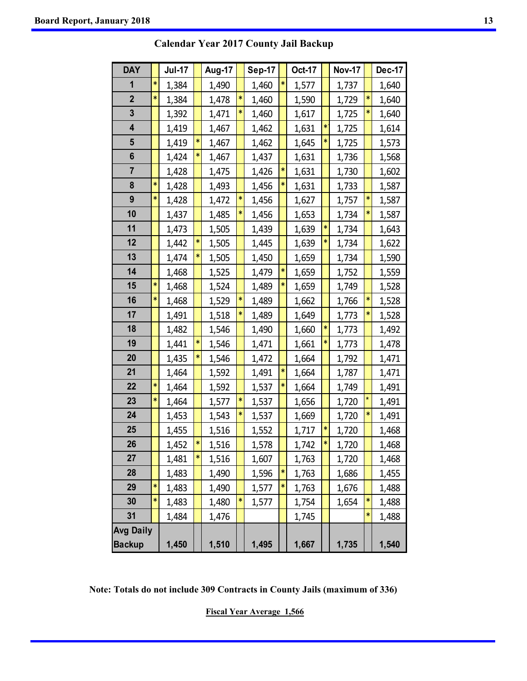| <b>DAY</b>              |   | <b>Jul-17</b> |        | Aug-17 |        | <b>Sep-17</b> |   | <b>Oct-17</b> |   | <b>Nov-17</b> |   | <b>Dec-17</b> |
|-------------------------|---|---------------|--------|--------|--------|---------------|---|---------------|---|---------------|---|---------------|
| 1                       | * | 1,384         |        | 1,490  |        | 1,460         | * | 1,577         |   | 1,737         |   | 1,640         |
| $\mathbf{2}$            | ∗ | 1,384         |        | 1,478  | *      | 1,460         |   | 1,590         |   | 1,729         | * | 1,640         |
| 3                       |   | 1,392         |        | 1,471  | ×      | 1,460         |   | 1,617         |   | 1,725         | * | 1,640         |
| $\overline{\mathbf{4}}$ |   | 1,419         |        | 1,467  |        | 1,462         |   | 1,631         |   | 1,725         |   | 1,614         |
| 5                       |   | 1,419         | *      | 1,467  |        | 1,462         |   | 1,645         | * | 1,725         |   | 1,573         |
| 6                       |   | 1,424         | *      | 1,467  |        | 1,437         |   | 1,631         |   | 1,736         |   | 1,568         |
| $\overline{7}$          |   | 1,428         |        | 1,475  |        | 1,426         |   | 1,631         |   | 1,730         |   | 1,602         |
| 8                       | * | 1,428         |        | 1,493  |        | 1,456         |   | 1,631         |   | 1,733         |   | 1,587         |
| 9                       | ∗ | 1,428         |        | 1,472  | ∗      | 1,456         |   | 1,627         |   | 1,757         | * | 1,587         |
| 10                      |   | 1,437         |        | 1,485  | *      | 1,456         |   | 1,653         |   | 1,734         | ∗ | 1,587         |
| 11                      |   | 1,473         |        | 1,505  |        | 1,439         |   | 1,639         | ∗ | 1,734         |   | 1,643         |
| 12                      |   | 1,442         | *      | 1,505  |        | 1,445         |   | 1,639         |   | 1,734         |   | 1,622         |
| 13                      |   | 1,474         | *      | 1,505  |        | 1,450         |   | 1,659         |   | 1,734         |   | 1,590         |
| 14                      |   | 1,468         |        | 1,525  |        | 1,479         |   | 1,659         |   | 1,752         |   | 1,559         |
| 15                      | ∗ | 1,468         |        | 1,524  |        | 1,489         |   | 1,659         |   | 1,749         |   | 1,528         |
| 16                      | ∗ | 1,468         |        | 1,529  | *      | 1,489         |   | 1,662         |   | 1,766         | ∗ | 1,528         |
| 17                      |   | 1,491         |        | 1,518  | *      | 1,489         |   | 1,649         |   | 1,773         | * | 1,528         |
| 18                      |   | 1,482         |        | 1,546  |        | 1,490         |   | 1,660         | * | 1,773         |   | 1,492         |
| 19                      |   | 1,441         |        | 1,546  |        | 1,471         |   | 1,661         |   | 1,773         |   | 1,478         |
| 20                      |   | 1,435         |        | 1,546  |        | 1,472         |   | 1,664         |   | 1,792         |   | 1,471         |
| 21                      |   | 1,464         |        | 1,592  |        | 1,491         |   | 1,664         |   | 1,787         |   | 1,471         |
| 22                      | * | 1,464         |        | 1,592  |        | 1,537         |   | 1,664         |   | 1,749         |   | 1,491         |
| 23                      | * | 1,464         |        | 1,577  | *      | 1,537         |   | 1,656         |   | 1,720         | * | 1,491         |
| 24                      |   | 1,453         |        | 1,543  | $\ast$ | 1,537         |   | 1,669         |   | 1,720         | * | 1,491         |
| 25                      |   | 1,455         |        | 1,516  |        | 1,552         |   | 1,717         |   | 1,720         |   | 1,468         |
| 26                      |   | 1,452         | $\ast$ | 1,516  |        | 1,578         |   | 1,742         | * | 1,720         |   | 1,468         |
| 27                      |   | 1,481         | *      | 1,516  |        | 1,607         |   | 1,763         |   | 1,720         |   | 1,468         |
| 28                      |   | 1,483         |        | 1,490  |        | 1,596         |   | 1,763         |   | 1,686         |   | 1,455         |
| 29                      | ∗ | 1,483         |        | 1,490  |        | 1,577         |   | 1,763         |   | 1,676         |   | 1,488         |
| 30                      | * | 1,483         |        | 1,480  | *      | 1,577         |   | 1,754         |   | 1,654         | * | 1,488         |
| 31                      |   | 1,484         |        | 1,476  |        |               |   | 1,745         |   |               | ∗ | 1,488         |
| <b>Avg Daily</b>        |   |               |        |        |        |               |   |               |   |               |   |               |
| <b>Backup</b>           |   | 1,450         |        | 1,510  |        | 1,495         |   | 1,667         |   | 1,735         |   | 1,540         |

**Calendar Year 2017 County Jail Backup** 

**Note: Totals do not include 309 Contracts in County Jails (maximum of 336)** 

**Fiscal Year Average 1,566**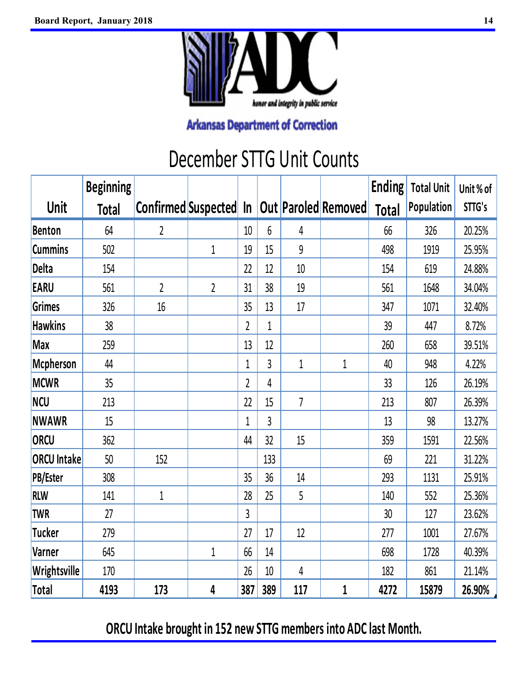

## December STTG Unit Counts

|                    | <b>Beginning</b> |                        |                |                |             |                |                     | <b>Ending</b> | <b>Total Unit</b> | Unit% of |
|--------------------|------------------|------------------------|----------------|----------------|-------------|----------------|---------------------|---------------|-------------------|----------|
| Unit               | <b>Total</b>     | Confirmed Suspected In |                |                |             |                | Out Paroled Removed | <b>Total</b>  | Population        | STTG's   |
| <b>Benton</b>      | 64               | $\overline{2}$         |                | 10             | 6           | $\overline{4}$ |                     | 66            | 326               | 20.25%   |
| <b>Cummins</b>     | 502              |                        | $\mathbf 1$    | 19             | 15          | 9              |                     | 498           | 1919              | 25.95%   |
| <b>Delta</b>       | 154              |                        |                | 22             | 12          | 10             |                     | 154           | 619               | 24.88%   |
| <b>EARU</b>        | 561              | $\overline{2}$         | $\overline{2}$ | 31             | 38          | 19             |                     | 561           | 1648              | 34.04%   |
| Grimes             | 326              | 16                     |                | 35             | 13          | 17             |                     | 347           | 1071              | 32.40%   |
| <b>Hawkins</b>     | 38               |                        |                | $\overline{2}$ | $\mathbf 1$ |                |                     | 39            | 447               | 8.72%    |
| <b>Max</b>         | 259              |                        |                | 13             | 12          |                |                     | 260           | 658               | 39.51%   |
| Mcpherson          | 44               |                        |                | $\mathbf{1}$   | 3           | $\mathbf 1$    | $\mathbf 1$         | 40            | 948               | 4.22%    |
| <b>MCWR</b>        | 35               |                        |                | $\overline{2}$ | 4           |                |                     | 33            | 126               | 26.19%   |
| <b>NCU</b>         | 213              |                        |                | 22             | 15          | $\overline{7}$ |                     | 213           | 807               | 26.39%   |
| <b>NWAWR</b>       | 15               |                        |                | $\mathbf{1}$   | 3           |                |                     | 13            | 98                | 13.27%   |
| ORCU               | 362              |                        |                | 44             | 32          | 15             |                     | 359           | 1591              | 22.56%   |
| <b>ORCU Intake</b> | 50               | 152                    |                |                | 133         |                |                     | 69            | 221               | 31.22%   |
| <b>PB/Ester</b>    | 308              |                        |                | 35             | 36          | 14             |                     | 293           | 1131              | 25.91%   |
| <b>RLW</b>         | 141              | $\mathbf 1$            |                | 28             | 25          | 5              |                     | 140           | 552               | 25.36%   |
| <b>TWR</b>         | 27               |                        |                | 3              |             |                |                     | 30            | 127               | 23.62%   |
| <b>Tucker</b>      | 279              |                        |                | 27             | 17          | 12             |                     | 277           | 1001              | 27.67%   |
| Varner             | 645              |                        | $\mathbf 1$    | 66             | 14          |                |                     | 698           | 1728              | 40.39%   |
| Wrightsville       | 170              |                        |                | 26             | 10          | 4              |                     | 182           | 861               | 21.14%   |
| Total              | 4193             | 173                    | 4              | 387            | 389         | 117            | $\mathbf 1$         | 4272          | 15879             | 26.90%   |

**ORCU Intake brought in 152 new STTG members into ADC last Month.**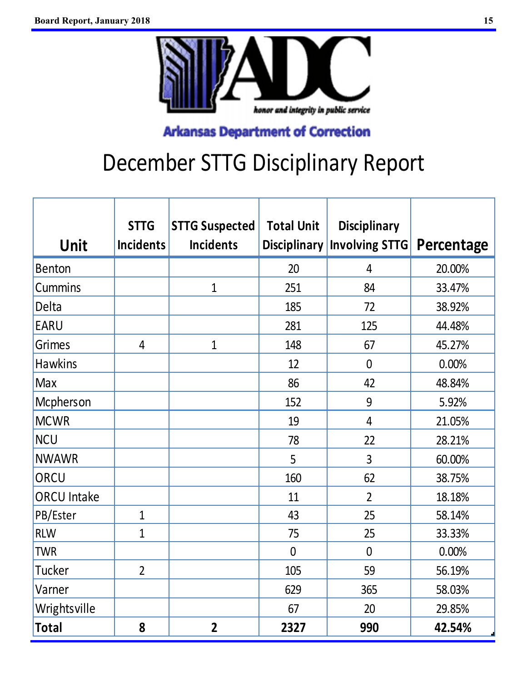

# December STTG Disciplinary Report

|                    | <b>STTG</b>      | <b>STTG Suspected</b> | <b>Total Unit</b>   | <b>Disciplinary</b>   |            |
|--------------------|------------------|-----------------------|---------------------|-----------------------|------------|
| <b>Unit</b>        | <b>Incidents</b> | <b>Incidents</b>      | <b>Disciplinary</b> | <b>Involving STTG</b> | Percentage |
| <b>Benton</b>      |                  |                       | 20                  | $\overline{4}$        | 20.00%     |
| <b>Cummins</b>     |                  | $\overline{1}$        | 251                 | 84                    | 33.47%     |
| Delta              |                  |                       | 185                 | 72                    | 38.92%     |
| <b>EARU</b>        |                  |                       | 281                 | 125                   | 44.48%     |
| <b>Grimes</b>      | $\overline{4}$   | $\mathbf 1$           | 148                 | 67                    | 45.27%     |
| <b>Hawkins</b>     |                  |                       | 12                  | $\overline{0}$        | 0.00%      |
| Max                |                  |                       | 86                  | 42                    | 48.84%     |
| Mcpherson          |                  |                       | 152                 | 9                     | 5.92%      |
| <b>MCWR</b>        |                  |                       | 19                  | $\overline{4}$        | 21.05%     |
| <b>NCU</b>         |                  |                       | 78                  | 22                    | 28.21%     |
| <b>NWAWR</b>       |                  |                       | 5                   | 3                     | 60.00%     |
| ORCU               |                  |                       | 160                 | 62                    | 38.75%     |
| <b>ORCU Intake</b> |                  |                       | 11                  | $\overline{2}$        | 18.18%     |
| PB/Ester           | $\mathbf{1}$     |                       | 43                  | 25                    | 58.14%     |
| <b>RLW</b>         | $\overline{1}$   |                       | 75                  | 25                    | 33.33%     |
| <b>TWR</b>         |                  |                       | $\overline{0}$      | $\mathbf 0$           | 0.00%      |
| <b>Tucker</b>      | $\overline{2}$   |                       | 105                 | 59                    | 56.19%     |
| Varner             |                  |                       | 629                 | 365                   | 58.03%     |
| Wrightsville       |                  |                       | 67                  | 20                    | 29.85%     |
| <b>Total</b>       | 8                | $\overline{2}$        | 2327                | 990                   | 42.54%     |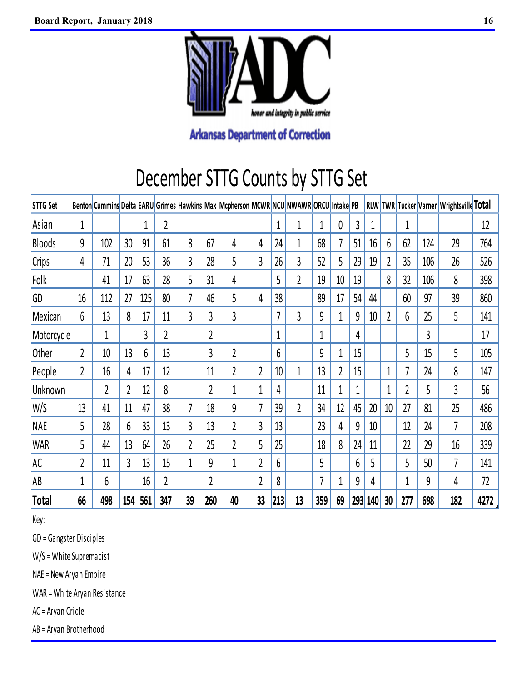

## December STTG Counts by STTG Set

| <b>STTG Set</b> | <b>Benton</b>  |     |     |     |                |                |                | Cummins Delta EARU Grimes Hawkins Max Mcpherson MCWR NCU NWAWR ORCU Intake PB |                |     |                |             |                |     | <b>RLW</b> | <b>TWR</b> |     |     | Tucker Varner   Wrightsville Total |      |
|-----------------|----------------|-----|-----|-----|----------------|----------------|----------------|-------------------------------------------------------------------------------|----------------|-----|----------------|-------------|----------------|-----|------------|------------|-----|-----|------------------------------------|------|
| Asian           | 1              |     |     | 1   | 2              |                |                |                                                                               |                | 1   | 1              | $\mathbf 1$ | 0              | 3   | 1          |            | 1   |     |                                    | 12   |
| Bloods          | 9              | 102 | 30  | 91  | 61             | 8              | 67             | 4                                                                             | 4              | 24  | 1              | 68          | 7              | 51  | 16         | 6          | 62  | 124 | 29                                 | 764  |
| <b>Crips</b>    | 4              | 71  | 20  | 53  | 36             | 3              | 28             | 5                                                                             | 3              | 26  | 3              | 52          | 5              | 29  | 19         | 2          | 35  | 106 | 26                                 | 526  |
| Folk            |                | 41  | 17  | 63  | 28             | 5              | 31             | 4                                                                             |                | 5   | $\overline{2}$ | 19          | 10             | 19  |            | 8          | 32  | 106 | 8                                  | 398  |
| GD              | 16             | 112 | 27  | 125 | 80             | 7              | 46             | 5                                                                             | 4              | 38  |                | 89          | 17             | 54  | 44         |            | 60  | 97  | 39                                 | 860  |
| Mexican         | 6              | 13  | 8   | 17  | 11             | $\overline{3}$ | 3              | $\overline{3}$                                                                |                | 7   | 3              | 9           | 1              | 9   | 10         | 2          | 6   | 25  | 5                                  | 141  |
| Motorcycle      |                | 1   |     | 3   | $\overline{2}$ |                | $\overline{2}$ |                                                                               |                | 1   |                | 1           |                | 4   |            |            |     | 3   |                                    | 17   |
| Other           | $\overline{2}$ | 10  | 13  | 6   | 13             |                | 3              | 2                                                                             |                | 6   |                | 9           | 1              | 15  |            |            | 5   | 15  | 5                                  | 105  |
| People          | 2              | 16  | 4   | 17  | 12             |                | 11             | $\overline{2}$                                                                | $\overline{2}$ | 10  | 1              | 13          | $\overline{2}$ | 15  |            | 1          | 7   | 24  | 8                                  | 147  |
| Unknown         |                | 2   |     | 12  | 8              |                | $\overline{2}$ | 1                                                                             | 1              | 4   |                | 11          | 1              | 1   |            | 1          | 2   | 5   | 3                                  | 56   |
| W/S             | 13             | 41  | 11  | 47  | 38             | 7              | 18             | 9                                                                             | 7              | 39  | $\overline{2}$ | 34          | 12             | 45  | 20         | 10         | 27  | 81  | 25                                 | 486  |
| <b>NAE</b>      | 5              | 28  | 6   | 33  | 13             | $\overline{3}$ | 13             | $\overline{2}$                                                                | 3              | 13  |                | 23          | 4              | 9   | 10         |            | 12  | 24  | 7                                  | 208  |
| <b>WAR</b>      | 5              | 44  | 13  | 64  | 26             | 2              | 25             | $\overline{2}$                                                                | 5              | 25  |                | 18          | 8              | 24  | 11         |            | 22  | 29  | 16                                 | 339  |
| <b>AC</b>       | 2              | 11  | 3   | 13  | 15             | 1              | 9              | 1                                                                             | $\overline{2}$ | 6   |                | 5           |                | 6   | 5          |            | 5   | 50  | 7                                  | 141  |
| AB              | 1              | 6   |     | 16  | 2              |                | 2              |                                                                               | $\overline{2}$ | 8   |                | 7           | 1              | 9   | 4          |            | 1   | 9   | 4                                  | 72   |
| Total           | 66             | 498 | 154 | 561 | 347            | 39             | 260            | 40                                                                            | 33             | 213 | 13             | 359         | 69             | 293 | 140        | 30         | 277 | 698 | 182                                | 4272 |

Key:

GD = Gangster Di sciples

W/S = White Supremacist

NAE = New Aryan Empire

WAR = White Aryan Resistance

AC = Aryan Cricle

AB = Aryan Brotherhood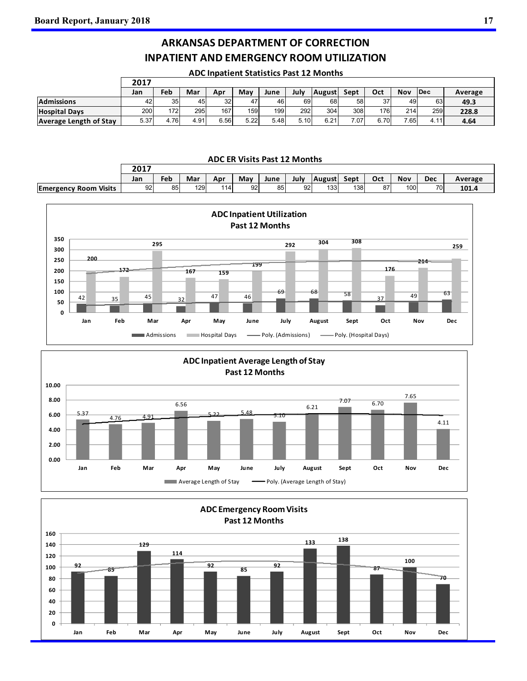Г

### **ARKANSAS DEPARTMENT OF CORRECTION INPATIENT AND EMERGENCY ROOM UTILIZATION**

| <b>ADC Inpatient Statistics Past 12 Months</b> |
|------------------------------------------------|
|------------------------------------------------|

|                               | 2017 |      |      |                 |      |      |      |               |      |      |      |             |         |
|-------------------------------|------|------|------|-----------------|------|------|------|---------------|------|------|------|-------------|---------|
|                               | Jan  | Feb  | Mar  | Apr             | May  | June | July | <b>August</b> | Sept | Oct  | Nov  | <b>IDec</b> | Average |
| <b>Admissions</b>             | 42   | 35   | 45   | 32 <sub>l</sub> | 47   | 46   | 69   | 68            | 58   | 37   | 49   | 63          | 49.3    |
| <b>Hospital Davs</b>          | 2001 | 172I | 295  | 167             | 159  | 199  | 292  | 304           | 308  | 176  | 214  | 259I        | 228.8   |
| <b>Average Length of Stay</b> | 5.37 | 4.76 | 4.91 | 6.56            | 5.22 | 5.48 | 5.10 | 6.21          | 7.07 | 6.70 | 7.65 | 4.11'       | 4.64    |

**ADC ER Visits Past 12 Months**

|                              | 2017 |     |     |       |     |      |      |                  |      |     |     |     |         |
|------------------------------|------|-----|-----|-------|-----|------|------|------------------|------|-----|-----|-----|---------|
|                              | Jan  | Feb | Mar | Apr   | May | June | July | <b>August</b>    | Sept | Oct | Nov | Dec | Average |
| <b>Emergency Room Visits</b> | 92   | 85  | 129 | 114 I | 92  | 85   | 92   | 133 <sub>1</sub> | 138  | 87  | 100 | 701 | 101.4   |





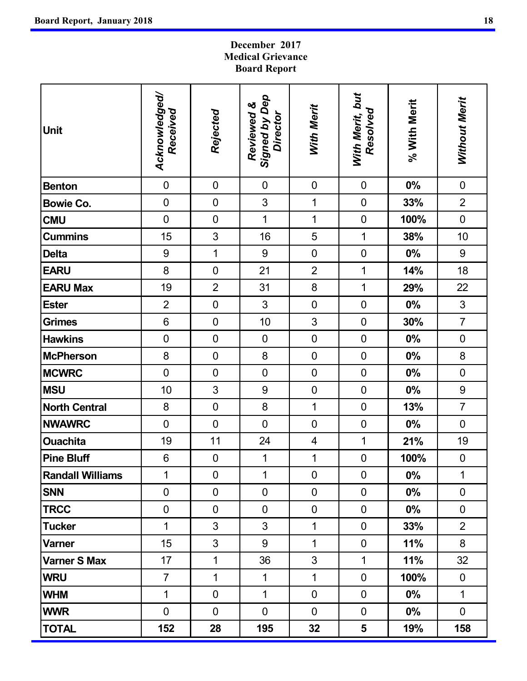### **December 2017 Medical Grievance Board Report**

| <b>Unit</b>             | Acknowledged/<br>Received | Rejected       | Signed by Dep<br>Reviewed &<br>Director | <b>With Merit</b>       | With Merit, but<br>Resolved | % With Merit | Without Merit  |
|-------------------------|---------------------------|----------------|-----------------------------------------|-------------------------|-----------------------------|--------------|----------------|
| <b>Benton</b>           | $\pmb{0}$                 | $\mathbf 0$    | $\mathbf 0$                             | $\pmb{0}$               | $\pmb{0}$                   | 0%           | $\pmb{0}$      |
| <b>Bowie Co.</b>        | $\mathbf 0$               | $\mathbf 0$    | 3                                       | $\mathbf 1$             | $\pmb{0}$                   | 33%          | $\overline{2}$ |
| <b>CMU</b>              | $\mathbf 0$               | $\mathbf 0$    | $\overline{1}$                          | $\overline{1}$          | $\pmb{0}$                   | 100%         | $\mathbf 0$    |
| <b>Cummins</b>          | 15                        | 3              | 16                                      | 5                       | 1                           | 38%          | 10             |
| <b>Delta</b>            | $\boldsymbol{9}$          | 1              | 9                                       | $\mathbf 0$             | $\mathbf 0$                 | $0\%$        | 9              |
| <b>EARU</b>             | 8                         | $\mathbf 0$    | 21                                      | $\overline{2}$          | $\overline{1}$              | 14%          | 18             |
| <b>EARU Max</b>         | 19                        | $\overline{2}$ | 31                                      | 8                       | $\mathbf 1$                 | 29%          | 22             |
| <b>Ester</b>            | $\overline{2}$            | $\mathbf 0$    | 3                                       | $\mathbf 0$             | $\mathbf 0$                 | $0\%$        | 3              |
| <b>Grimes</b>           | $6\phantom{1}$            | $\mathbf 0$    | 10                                      | 3                       | $\mathbf 0$                 | 30%          | $\overline{7}$ |
| <b>Hawkins</b>          | $\mathbf 0$               | $\mathbf 0$    | $\mathbf 0$                             | $\mathbf 0$             | $\pmb{0}$                   | $0\%$        | $\pmb{0}$      |
| <b>McPherson</b>        | 8                         | $\mathbf 0$    | 8                                       | $\mathbf 0$             | $\mathbf 0$                 | $0\%$        | 8              |
| <b>MCWRC</b>            | $\overline{0}$            | $\mathbf 0$    | $\mathbf 0$                             | $\mathbf 0$             | $\pmb{0}$                   | 0%           | $\mathbf 0$    |
| <b>MSU</b>              | 10                        | 3              | 9                                       | $\mathbf 0$             | $\pmb{0}$                   | $0\%$        | $9\,$          |
| <b>North Central</b>    | 8                         | $\mathbf 0$    | 8                                       | 1                       | $\boldsymbol{0}$            | 13%          | $\overline{7}$ |
| <b>NWAWRC</b>           | $\mathbf 0$               | $\mathbf 0$    | $\overline{0}$                          | $\mathbf 0$             | $\pmb{0}$                   | $0\%$        | $\mathbf 0$    |
| <b>Ouachita</b>         | 19                        | 11             | 24                                      | $\overline{\mathbf{4}}$ | $\mathbf 1$                 | 21%          | 19             |
| <b>Pine Bluff</b>       | $\,6$                     | $\pmb{0}$      | 1                                       | 1                       | $\mathbf 0$                 | 100%         | $\pmb{0}$      |
| <b>Randall Williams</b> | 1                         | $\mathbf 0$    | 1                                       | $\mathbf 0$             | $\mathbf 0$                 | 0%           | 1              |
| <b>SNN</b>              | $\mathbf 0$               | $\mathbf 0$    | $\mathbf 0$                             | $\overline{0}$          | $\mathbf 0$                 | $0\%$        | $\mathbf 0$    |
| <b>TRCC</b>             | $\pmb{0}$                 | 0              | $\mathbf 0$                             | $\mathbf 0$             | $\mathbf 0$                 | $0\%$        | $\mathbf 0$    |
| <b>Tucker</b>           | 1                         | 3              | 3                                       | 1                       | $\mathbf 0$                 | 33%          | $\overline{2}$ |
| Varner                  | 15                        | 3              | 9                                       | 1                       | $\mathbf 0$                 | 11%          | 8              |
| <b>Varner S Max</b>     | 17                        | $\mathbf 1$    | 36                                      | 3                       | $\mathbf{1}$                | 11%          | 32             |
| <b>WRU</b>              | $\overline{7}$            | $\mathbf{1}$   | $\mathbf 1$                             | $\mathbf{1}$            | $\mathbf 0$                 | 100%         | $\mathbf 0$    |
| <b>WHM</b>              | 1                         | $\pmb{0}$      | $\mathbf{1}$                            | $\mathbf 0$             | $\mathbf 0$                 | $0\%$        | $\mathbf 1$    |
| <b>WWR</b>              | $\mathbf 0$               | $\mathbf 0$    | $\mathbf 0$                             | $\overline{0}$          | $\overline{0}$              | $0\%$        | $\mathbf 0$    |
| <b>TOTAL</b>            | 152                       | 28             | 195                                     | 32                      | 5                           | 19%          | 158            |

ä,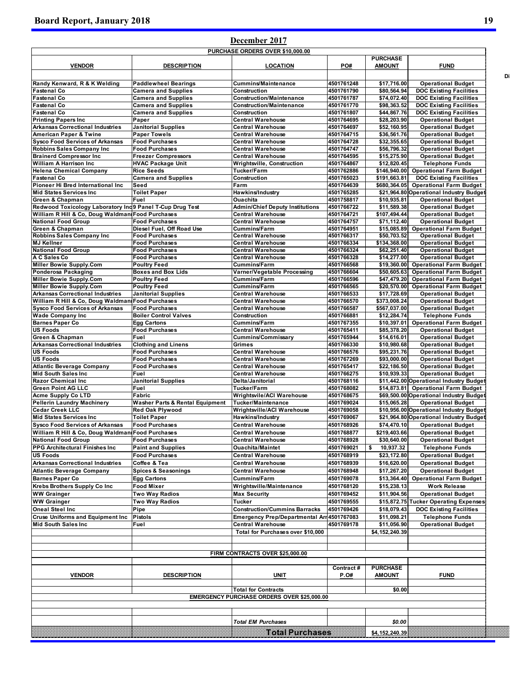## **December 2017**

| <b>VENDOR</b>                                            | <b>DESCRIPTION</b>                         | <b>LOCATION</b>                            | PO#        | <b>PURCHASE</b><br><b>AMOUNT</b> | <b>FUND</b>                             |
|----------------------------------------------------------|--------------------------------------------|--------------------------------------------|------------|----------------------------------|-----------------------------------------|
|                                                          |                                            |                                            |            |                                  |                                         |
| Randy Kenward, R & K Welding                             | <b>Paddlewheel Bearings</b>                | <b>Cummins/Maintenance</b>                 | 4501761248 | \$17,716.00                      | <b>Operational Budget</b>               |
| <b>Fastenal Co</b>                                       | <b>Camera and Supplies</b>                 | Construction                               | 4501761790 | \$80,564.94                      | <b>DOC Existing Facilities</b>          |
| <b>Fastenal Co</b>                                       | <b>Camera and Supplies</b>                 | <b>Construction/Maintenance</b>            | 4501761787 | \$74,072.40                      | <b>DOC Existing Facilities</b>          |
| <b>Fastenal Co</b>                                       | <b>Camera and Supplies</b>                 | <b>Construction/Maintenance</b>            | 4501761770 | \$98,363.52                      | <b>DOC Existing Facilities</b>          |
| <b>Fastenal Co</b>                                       | <b>Camera and Supplies</b>                 | Construction                               | 4501761807 | \$44,867.76                      | <b>DOC Existing Facilities</b>          |
| <b>Printing Papers Inc.</b>                              | Paper                                      | <b>Central Warehouse</b>                   | 4501764695 | \$28,203.90                      | <b>Operational Budget</b>               |
| <b>Arkansas Correctional Industries</b>                  | <b>Janitorial Supplies</b>                 | <b>Central Warehouse</b>                   | 4501764697 | \$52,160.95                      | <b>Operational Budget</b>               |
| <b>American Paper &amp; Twine</b>                        | <b>Paper Towels</b>                        | <b>Central Warehouse</b>                   | 4501764715 | \$36,561.76                      | <b>Operational Budget</b>               |
| <b>Sysco Food Services of Arkansas</b>                   | <b>Food Purchases</b>                      | Central Warehouse                          | 4501764728 | \$32,355.65                      | <b>Operational Budget</b>               |
| <b>Robbins Sales Company Inc</b>                         | <b>Food Purchases</b>                      | <b>Central Warehouse</b>                   | 4501764747 | \$56.796.32                      | <b>Operational Budget</b>               |
| <b>Brainerd Compressor Inc</b>                           | <b>Freezer Compressors</b>                 | <b>Central Warehouse</b>                   | 4501764595 | \$15,275.90                      | <b>Operational Budget</b>               |
| <b>William A Harrison Inc.</b>                           | <b>HVAC Package Unit</b>                   | Wrightsville, Construction                 |            |                                  | <b>Telephone Funds</b>                  |
|                                                          |                                            |                                            | 4501764867 | \$12,820.45                      |                                         |
| <b>Helena Chemical Company</b>                           | <b>Rice Seeds</b>                          | Tucker/Farm                                | 4501762886 |                                  | \$146,940.00 Operational Farm Budget    |
| <b>Fastenal Co</b>                                       | <b>Camera and Supplies</b>                 | Construction                               | 4501765023 | \$191,663.81                     | <b>DOC Existing Facilities</b>          |
| Pioneer Hi Bred International Inc                        | Seed                                       | Farm                                       | 4501764639 | \$680,364.05                     | <b>Operational Farm Budget</b>          |
| <b>Mid States Services Inc.</b>                          | <b>Toilet Paper</b>                        | Hawkins/Industry                           | 4501765285 |                                  | \$21,964.80 Operational Industry Budget |
| Green & Chapman                                          | Fuel                                       | Ouachita                                   | 4501758817 | \$10,935.81                      | <b>Operational Budget</b>               |
| Redwood Toxicology Laboratory Ind9 Panel T-Cup Drug Test |                                            | <b>Admin/Chief Deputy Institutions</b>     | 4501766722 | \$11,589.38                      | <b>Operational Budget</b>               |
| William R Hill & Co, Doug Waldman Food Purchases         |                                            | <b>Central Warehouse</b>                   | 4501764721 | \$107,494.44                     | <b>Operational Budget</b>               |
| <b>National Food Group</b>                               | <b>Food Purchases</b>                      | <b>Central Warehouse</b>                   | 4501764757 | \$71,112.40                      | <b>Operational Budget</b>               |
| Green & Chapman                                          | Diesel Fuel, Off Road Use                  | <b>Cummins/Farm</b>                        | 4501764951 |                                  | \$15,085.89 Operational Farm Budget     |
| <b>Robbins Sales Company Inc</b>                         | <b>Food Purchases</b>                      | <b>Central Warehouse</b>                   | 4501766317 | \$50,703.52                      | <b>Operational Budget</b>               |
| <b>MJ Kellner</b>                                        | <b>Food Purchases</b>                      | <b>Central Warehouse</b>                   | 4501766334 | \$134,368.00                     | <b>Operational Budget</b>               |
| <b>National Food Group</b>                               | <b>Food Purchases</b>                      | <b>Central Warehouse</b>                   | 4501766324 | \$62,251.40                      | <b>Operational Budget</b>               |
| A C Sales Co                                             |                                            | <b>Central Warehouse</b>                   | 4501766328 | \$14,277.00                      | <b>Operational Budget</b>               |
|                                                          | <b>Food Purchases</b>                      |                                            |            |                                  |                                         |
| <b>Miller Bowie Supply.Com</b>                           | <b>Poultry Feed</b>                        | <b>Cummins/Farm</b>                        | 4501766568 | \$19,360.00                      | <b>Operational Farm Budget</b>          |
| Ponderosa Packaging                                      | <b>Boxes and Box Lids</b>                  | Varner/Vegetable Processing                | 4501766604 | \$50,605.63                      | <b>Operational Farm Budget</b>          |
| <b>Miller Bowie Supply.Com</b>                           | <b>Poultry Feed</b>                        | <b>Cummins/Farm</b>                        | 4501766596 | \$47.479.20                      | <b>Operational Farm Budget</b>          |
| <b>Miller Bowie Supply.Com</b>                           | <b>Poultry Feed</b>                        | <b>Cummins/Farm</b>                        | 4501766565 |                                  | \$20,570.00 Operational Farm Budget     |
| <b>Arkansas Correctional Industries</b>                  | <b>Janitorial Supplies</b>                 | <b>Central Warehouse</b>                   | 4501766533 | \$17.728.69                      | <b>Operational Budget</b>               |
| William R Hill & Co, Doug Waldman Food Purchases         |                                            | <b>Central Warehouse</b>                   | 4501766570 | \$373,008.24                     | <b>Operational Budget</b>               |
| <b>Sysco Food Services of Arkansas</b>                   | <b>Food Purchases</b>                      | <b>Central Warehouse</b>                   | 4501766587 | \$567,037.00                     | <b>Operational Budget</b>               |
| <b>Wade Company Inc</b>                                  | <b>Boiler Control Valves</b>               | Construction                               | 4501766881 | \$12,284.74                      | <b>Telephone Funds</b>                  |
| <b>Barnes Paper Co</b>                                   |                                            | <b>Cummins/Farm</b>                        | 4501767355 |                                  | \$10,397.01 Operational Farm Budget     |
|                                                          | <b>Egg Cartons</b>                         |                                            |            |                                  |                                         |
| <b>US Foods</b>                                          | <b>Food Purchases</b>                      | <b>Central Warehouse</b>                   | 4501765411 | \$85,378.20                      | <b>Operational Budget</b>               |
| Green & Chapman                                          | Fuel                                       | Cummins/Commissary                         | 4501765944 | \$14,616.01                      | <b>Operational Budget</b>               |
| <b>Arkansas Correctional Industries</b>                  | <b>Clothing and Linens</b>                 | Grimes                                     | 4501766330 | \$10,980.68                      | <b>Operational Budget</b>               |
| <b>US Foods</b>                                          | <b>Food Purchases</b>                      | <b>Central Warehouse</b>                   | 4501766576 | \$95,231.76                      | <b>Operational Budget</b>               |
| <b>US Foods</b>                                          | <b>Food Purchases</b>                      | <b>Central Warehouse</b>                   | 4501767269 | \$93,000.00                      | <b>Operational Budget</b>               |
| <b>Atlantic Beverage Company</b>                         | <b>Food Purchases</b>                      | <b>Central Warehouse</b>                   | 4501765417 | \$22,186.50                      | <b>Operational Budget</b>               |
| <b>Mid South Sales Inc</b>                               | Fuel                                       | Central Warehouse                          | 4501766275 | \$10,939.33                      | <b>Operational Budget</b>               |
| <b>Razor Chemical Inc</b>                                | <b>Janitorial Supplies</b>                 | Delta/Janitorial                           | 4501768116 |                                  | \$11,442.00 Operational Industry Budget |
| <b>Green Point AG LLC</b>                                | Fuel                                       | <b>Tucker/Farm</b>                         | 4501768082 |                                  | \$14,873.81 Operational Farm Budget     |
| <b>Acme Supply Co LTD</b>                                | Fabric                                     | <b>Wrightsvile/ACI Warehouse</b>           | 4501768675 |                                  | \$69,500.00 Operational Industry Budget |
| <b>Pellerin Laundry Machinery</b>                        | <b>Washer Parts &amp; Rental Equipment</b> | <b>Tucker/Maintenance</b>                  | 4501769024 | \$15,065.28                      | <b>Operational Budget</b>               |
|                                                          |                                            |                                            |            |                                  |                                         |
| <b>Cedar Creek LLC</b>                                   | <b>Red Oak Plywood</b>                     | <b>Wrightsville/ACI Warehouse</b>          | 4501769058 |                                  | \$10,956.00 Operational Industry Budget |
| <b>Mid States Services Inc.</b>                          | <b>Toilet Paper</b>                        | Hawkins/Industry                           | 4501769067 |                                  | \$21,964.80 Operational Industry Budget |
| <b>Sysco Food Services of Arkansas</b>                   | <b>Food Purchases</b>                      | <b>Central Warehouse</b>                   | 4501768926 | \$74,470.10                      | <b>Operational Budget</b>               |
| William R Hill & Co, Doug Waldman Food Purchases         |                                            | <b>Central Warehouse</b>                   | 4501768877 | \$219,403.66                     | <b>Operational Budget</b>               |
| <b>National Food Group</b>                               | <b>Food Purchases</b>                      | <b>Central Warehouse</b>                   | 4501768928 | \$30,640.00                      | <b>Operational Budget</b>               |
| <b>PPG Architectural Finishes Inc</b>                    | <b>Paint and Supplies</b>                  | <b>Ouachita/Maintet</b>                    | 4501769021 | 10,937.32<br>\$                  | <b>Telephone Funds</b>                  |
| <b>US Foods</b>                                          | <b>Food Purchases</b>                      | <b>Central Warehouse</b>                   | 4501768919 | \$23,172.80                      | <b>Operational Budget</b>               |
|                                                          |                                            |                                            |            |                                  |                                         |
| <b>Arkansas Correctional Industries</b>                  | Coffee & Tea                               | <b>Central Warehouse</b>                   | 4501768939 | \$16,620.00                      | <b>Operational Budget</b>               |
| <b>Atlantic Beverage Company</b>                         | <b>Spices &amp; Seasonings</b>             | <b>Central Warehouse</b>                   | 4501768948 | \$17,267.20                      | <b>Operational Budget</b>               |
| <b>Barnes Paper Co</b>                                   | <b>Egg Cartons</b>                         | Cummins/Farm                               | 4501769078 | \$13,364.40                      | <b>Operational Farm Budget</b>          |
| Krebs Brothers Supply Co Inc                             | <b>Food Mixer</b>                          | Wrightsville/Maintenance                   | 4501768120 | \$15,238.13                      | <b>Work Release</b>                     |
| <b>WW Grainger</b>                                       | Two Way Radios                             | <b>Max Security</b>                        | 4501769452 | \$11,904.56                      | <b>Operational Budget</b>               |
|                                                          |                                            |                                            |            |                                  |                                         |
| <b>WW Grainger</b>                                       | Two Way Radios                             | <b>Tucker</b>                              | 4501769555 |                                  | \$15,872.75 Tucker Operating Expenses   |
| <b>Oneal Steel Inc</b>                                   | Pipe                                       | <b>Construction/Cummins Barracks</b>       | 4501769426 | \$18,079.43                      | <b>DOC Existing Facilities</b>          |
| <b>Cruse Uniforms and Equipment Inc.</b>                 | Pistols                                    | Emergency Prep/Departmental Arr 4501767083 |            | \$11,098.21                      | <b>Telephone Funds</b>                  |
| <b>Mid South Sales Inc.</b>                              | Fuel                                       | <b>Central Warehouse</b>                   | 4501769178 | \$11,056.90                      | <b>Operational Budget</b>               |
|                                                          |                                            | Total for Purchases over \$10,000          |            | \$4,152,240.39                   |                                         |
|                                                          |                                            |                                            |            |                                  |                                         |
|                                                          |                                            |                                            |            |                                  |                                         |
|                                                          |                                            |                                            |            |                                  |                                         |
|                                                          |                                            | FIRM CONTRACTS OVER \$25,000.00            |            |                                  |                                         |
|                                                          |                                            |                                            |            |                                  |                                         |
|                                                          |                                            |                                            | Contract # | <b>PURCHASE</b>                  |                                         |
| <b>VENDOR</b>                                            | <b>DESCRIPTION</b>                         | <b>UNIT</b>                                | P.O#       | <b>AMOUNT</b>                    | <b>FUND</b>                             |
|                                                          |                                            |                                            |            |                                  |                                         |
|                                                          |                                            | <b>Total for Contracts</b>                 |            | \$0.00                           |                                         |
|                                                          |                                            |                                            |            |                                  |                                         |
|                                                          |                                            |                                            |            |                                  |                                         |
|                                                          |                                            | EMERGENCY PURCHASE ORDERS OVER \$25,000.00 |            |                                  |                                         |
|                                                          |                                            |                                            |            |                                  |                                         |
|                                                          |                                            |                                            |            |                                  |                                         |
|                                                          |                                            | <b>Total EM Purchases</b>                  |            | \$0.00                           |                                         |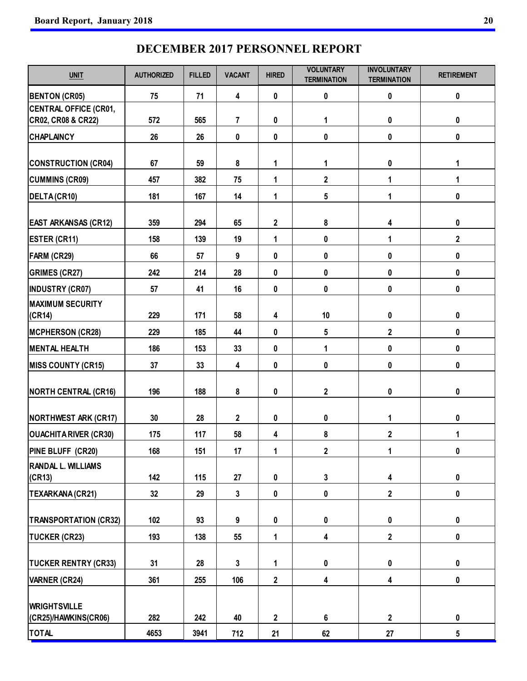## **DECEMBER 2017 PERSONNEL REPORT**

| <b>UNIT</b>                                 | <b>AUTHORIZED</b> | <b>FILLED</b> | <b>VACANT</b> | <b>HIRED</b>            | <b>VOLUNTARY</b><br><b>TERMINATION</b> | <b>INVOLUNTARY</b><br><b>TERMINATION</b> | <b>RETIREMENT</b> |
|---------------------------------------------|-------------------|---------------|---------------|-------------------------|----------------------------------------|------------------------------------------|-------------------|
| <b>BENTON (CR05)</b>                        | 75                | 71            | 4             | 0                       | 0                                      | 0                                        | 0                 |
| <b>CENTRAL OFFICE (CR01,</b>                | 572               | 565           | 7             | 0                       | 1                                      | 0                                        | 0                 |
| CR02, CR08 & CR22)<br><b>CHAPLAINCY</b>     | 26                | 26            | 0             | 0                       | 0                                      | 0                                        | 0                 |
|                                             |                   |               |               |                         |                                        |                                          |                   |
| <b>CONSTRUCTION (CR04)</b>                  | 67                | 59            | 8             | 1                       | 1                                      | 0                                        | 1                 |
| <b>CUMMINS (CR09)</b>                       | 457               | 382           | 75            | 1                       | $\overline{\mathbf{2}}$                | 1                                        | 1                 |
| DELTA (CR10)                                | 181               | 167           | 14            | 1                       | 5                                      | 1                                        | 0                 |
|                                             |                   |               |               |                         |                                        |                                          |                   |
| <b>EAST ARKANSAS (CR12)</b>                 | 359               | 294           | 65            | $\overline{2}$          | 8                                      | 4                                        | 0                 |
| <b>ESTER (CR11)</b>                         | 158               | 139           | 19            | 1                       | 0                                      | 1                                        | $\boldsymbol{2}$  |
| FARM (CR29)                                 | 66                | 57            | 9             | 0                       | 0                                      | 0                                        | 0                 |
| <b>GRIMES (CR27)</b>                        | 242               | 214           | 28            | 0                       | 0                                      | 0                                        | 0                 |
| <b>INDUSTRY (CR07)</b>                      | 57                | 41            | 16            | 0                       | 0                                      | 0                                        | 0                 |
| <b>MAXIMUM SECURITY</b>                     |                   |               |               |                         |                                        |                                          |                   |
| (CR14)                                      | 229               | 171           | 58            | 4                       | 10                                     | 0                                        | 0                 |
| <b>MCPHERSON (CR28)</b>                     | 229               | 185           | 44            | 0                       | 5                                      | $\mathbf 2$                              | 0                 |
| <b>MENTAL HEALTH</b>                        | 186               | 153           | 33            | 0                       | 1                                      | 0                                        | 0                 |
| <b>MISS COUNTY (CR15)</b>                   | 37                | 33            | 4             | 0                       | 0                                      | 0                                        | 0                 |
| <b>NORTH CENTRAL (CR16)</b>                 | 196               | 188           | 8             | 0                       | $\boldsymbol{2}$                       | 0                                        | 0                 |
| <b>NORTHWEST ARK (CR17)</b>                 | 30                | 28            | $\mathbf 2$   | 0                       | 0                                      | 1                                        | 0                 |
| <b>OUACHITA RIVER (CR30)</b>                | 175               | 117           | 58            | 4                       | 8                                      | $\mathbf 2$                              | 1                 |
| PINE BLUFF (CR20)                           | 168               | 151           | 17            | 1                       | $\mathbf{2}$                           | 1                                        | 0                 |
| <b>RANDAL L. WILLIAMS</b><br>(CR13)         | 142               | 115           | 27            | $\pmb{0}$               | $\mathbf{3}$                           | 4                                        | $\pmb{0}$         |
| TEXARKANA (CR21)                            | 32                | 29            | $\mathbf{3}$  | $\pmb{0}$               | $\pmb{0}$                              | $\mathbf{2}$                             | $\pmb{0}$         |
| <b>TRANSPORTATION (CR32)</b>                | 102               | 93            | 9             | $\pmb{0}$               | $\pmb{0}$                              | $\pmb{0}$                                | $\pmb{0}$         |
| <b>TUCKER (CR23)</b>                        | 193               | 138           | 55            | 1                       | 4                                      | $\mathbf{2}$                             | $\pmb{0}$         |
|                                             |                   |               |               |                         |                                        |                                          |                   |
| <b>TUCKER RENTRY (CR33)</b>                 | 31                | 28            | $\mathbf{3}$  | $\mathbf{1}$            | $\pmb{0}$                              | $\pmb{0}$                                | $\pmb{0}$         |
| <b>VARNER (CR24)</b>                        | 361               | 255           | 106           | $\mathbf 2$             | 4                                      | 4                                        | 0                 |
| <b>WRIGHTSVILLE</b><br>(CR25)/HAWKINS(CR06) | 282               | 242           | 40            | $\overline{\mathbf{2}}$ | 6                                      | $\overline{\mathbf{2}}$                  | $\pmb{0}$         |
| <b>TOTAL</b>                                | 4653              | 3941          | 712           | 21                      | 62                                     | 27                                       | 5                 |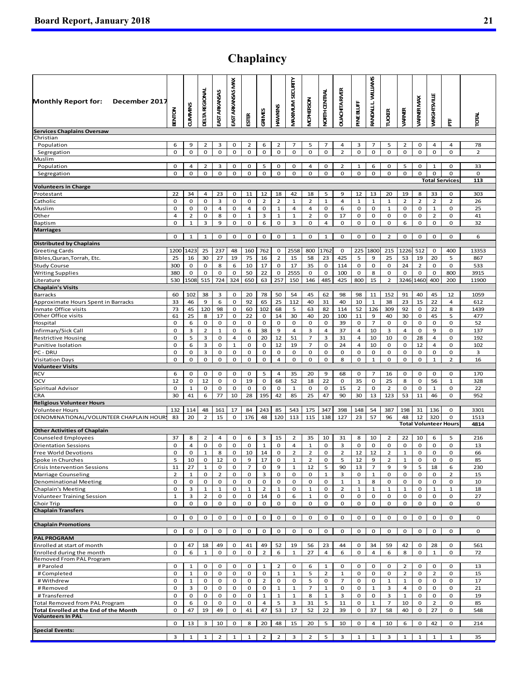## **Chaplaincy**

| <b>Monthly Report for:</b><br>December 2017                              | <b>BENTON</b>        | <b>CUMMINS</b>     | <b>DETA REGIONAL</b> | EAST ARKANSAS       | EAST ARKANSAS MAX | <b>ESTER</b>                  | GRIMES               | HAVVINUS             | VIAXIMUM SECURITY       | <b>MOPHERSON</b>     | <b>VORTH CENTRAL</b> | <b>OUACHITARVER</b> | PINE BLUFF          | <b>WILLIAMS</b><br>L<br><b>RANDALL</b> | <b>TUCKER</b>        | VARNER               | <b>ARNER MAX</b>    | WRIGHTSVILLE         | ŧ                                 | <b>RIGI</b>    |
|--------------------------------------------------------------------------|----------------------|--------------------|----------------------|---------------------|-------------------|-------------------------------|----------------------|----------------------|-------------------------|----------------------|----------------------|---------------------|---------------------|----------------------------------------|----------------------|----------------------|---------------------|----------------------|-----------------------------------|----------------|
| <b>Services Chaplains Oversaw</b>                                        |                      |                    |                      |                     |                   |                               |                      |                      |                         |                      |                      |                     |                     |                                        |                      |                      |                     |                      |                                   |                |
| Christian                                                                |                      |                    |                      |                     |                   |                               |                      |                      |                         |                      |                      |                     |                     |                                        |                      |                      |                     |                      |                                   |                |
| Population                                                               | 6                    | 9                  | 2                    | 3                   | 0                 | $\overline{2}$                | 6                    | $\overline{2}$       | $\overline{7}$          | 5                    | $\overline{7}$       | 4                   | 3                   | $\overline{7}$                         | 5                    | $\overline{2}$       | 0                   | 4                    | 4                                 | 78             |
| Segregation<br>Muslim                                                    | $\mathbf 0$          | $\mathbf 0$        | 0                    | 0                   | $\mathbf 0$       | 0                             | $\mathbf 0$          | $\mathbf 0$          | $\mathbf 0$             | $\mathbf 0$          | $\mathbf 0$          | $\overline{2}$      | $\mathbf 0$         | 0                                      | $\mathbf 0$          | 0                    | $\mathbf 0$         | 0                    | 0                                 | $\overline{2}$ |
| Population                                                               | 0                    | 4                  | 2                    | 3                   | 0                 | 0                             | 5                    | 0                    | 0                       | 4                    | 0                    | 2                   | $\mathbf{1}$        | 6                                      | 0                    | 5                    | 0                   | $\mathbf{1}$         | 0                                 | 33             |
| Segregation                                                              | 0                    | 0                  | 0                    | 0                   | 0                 | 0                             | 0                    | 0                    | 0                       | 0                    | 0                    | 0                   | 0                   | 0                                      | 0                    | 0                    | 0                   | 0                    | 0                                 | 0              |
|                                                                          |                      |                    |                      |                     |                   |                               |                      |                      |                         |                      |                      |                     |                     |                                        |                      |                      |                     |                      | <b>Total Services</b>             | 113            |
| <b>Volunteers in Charge</b>                                              |                      |                    |                      |                     |                   |                               |                      |                      |                         |                      |                      |                     |                     |                                        |                      |                      |                     |                      |                                   |                |
| Protestant<br>Catholic                                                   | 22<br>0              | 34<br>0            | 4<br>0               | 23<br>3             | 0<br>0            | 11<br>0                       | 12<br>$\overline{2}$ | 18<br>$\overline{2}$ | 42<br>$\mathbf{1}$      | 18<br>$\overline{2}$ | 5<br>$\mathbf{1}$    | 9<br>4              | 12<br>$\mathbf 1$   | 13<br>$\mathbf{1}$                     | 20<br>$\mathbf 1$    | 19<br>$\overline{2}$ | 8<br>$\overline{2}$ | 33<br>$\overline{2}$ | 0<br>$\overline{2}$               | 303<br>26      |
| Muslim                                                                   | 0                    | 0                  | 0                    | 4                   | 0                 | 4                             | $\mathbf 0$          | $\mathbf 1$          | $\overline{a}$          | 4                    | 0                    | 6                   | 0                   | 0                                      | $\mathbf{1}$         | 0                    | 0                   | $\mathbf{1}$         | 0                                 | 25             |
| Other                                                                    | $\overline{4}$       | $\overline{2}$     | 0                    | 8                   | 0                 | $\mathbf{1}$                  | 3                    | $\mathbf{1}$         | $\mathbf{1}$            | $\overline{2}$       | 0                    | 17                  | 0                   | 0                                      | 0                    | 0                    | 0                   | $\overline{2}$       | 0                                 | 41             |
| Baptism                                                                  | 0                    | $\mathbf{1}$       | 3                    | 9                   | 0                 | 0                             | 6                    | 0                    | 3                       | 0                    | 4                    | 0                   | 0                   | 0                                      | 0                    | 6                    | 0                   | 0                    | 0                                 | 32             |
| <b>Marriages</b>                                                         |                      |                    |                      |                     |                   |                               |                      |                      |                         |                      |                      |                     |                     |                                        |                      |                      |                     |                      |                                   |                |
| <b>Distributed by Chaplains</b>                                          | 0                    | $\mathbf{1}$       | $\mathbf{1}$         | 0                   | 0                 | 0                             | 0                    | 0                    | $\mathbf{1}$            | 0                    | $\mathbf{1}$         | 0                   | 0                   | 0                                      | $\overline{2}$       | $\mathbf 0$          | 0                   | 0                    | 0                                 | 6              |
| <b>Greeting Cards</b>                                                    | 1200                 | 1423               | 25                   | 237                 | 48                | 160                           | 762                  | 0                    | 2558                    | 800                  | 1762                 | 0                   | 225                 | 1800                                   | 215                  | 1226                 | 512                 | 0                    | 400                               | 13353          |
| Bibles, Quran, Torrah, Etc.                                              | 25                   | 16                 | 30                   | 27                  | 19                | 75                            | 16                   | $\overline{2}$       | 15                      | 58                   | 23                   | 425                 | 5                   | 9                                      | 25                   | 53                   | 19                  | 20                   | 5                                 | 867            |
| <b>Study Course</b>                                                      | 300                  | 0                  | 0                    | 8                   | 6                 | 10                            | 17                   | 0                    | 17                      | 35                   | 0                    | 114                 | 0                   | 0                                      | 0                    | 24                   | $\overline{2}$      | 0                    | 0                                 | 533            |
| <b>Writing Supplies</b>                                                  | 380                  | 0                  | 0                    | 0                   | 0                 | 50                            | 22                   | 0                    | 2555                    | 0                    | 0                    | 100                 | 0                   | 8                                      | 0                    | 0                    | 0                   | 0                    | 800                               | 3915           |
| Literature<br><b>Chaplain's Visits</b>                                   | 530                  | 1508               | 515                  | 724                 | 324               | 650                           | 63                   | 257                  | 150                     | 146                  | 485                  | 425                 | 800                 | 15                                     | $\overline{2}$       | 3246                 | 1460                | 400                  | 200                               | 11900          |
| Barracks                                                                 | 60                   | 102                | 38                   | 3                   | 0                 | 20                            | 78                   | 50                   | 54                      | 45                   | 62                   | 98                  | 98                  | 11                                     | 152                  | 91                   | 40                  | 45                   | 12                                | 1059           |
| Approximate Hours Spent in Barracks                                      | 33                   | 46                 | 9                    | 6                   | 0                 | 92                            | 65                   | 25                   | 112                     | 40                   | 31                   | 40                  | 10                  | $\mathbf{1}$                           | 38                   | 23                   | 15                  | 22                   | 4                                 | 612            |
| Inmate Office visits                                                     | 73                   | 45                 | 120                  | 98                  | 0                 | 60                            | 102                  | 68                   | 5                       | 63                   | 82                   | 114                 | 52                  | 126                                    | 309                  | 92                   | 0                   | 22                   | 8                                 | 1439           |
| Other Office visits                                                      | 61                   | 25                 | 8                    | 17                  | 0                 | 22                            | 0                    | 14                   | 30                      | 40                   | 20                   | 100                 | 11                  | 9                                      | 40                   | 30                   | 0                   | 45                   | 5                                 | 477            |
| Hospital                                                                 | 0                    | 6                  | 0                    | 0                   | 0                 | 0                             | 0                    | 0                    | 0                       | 0                    | 0                    | 39                  | 0                   | $\overline{7}$                         | 0                    | 0                    | 0                   | 0                    | 0                                 | 52             |
| Infirmary/Sick Call<br><b>Restrictive Housing</b>                        | 0<br>0               | 3<br>5             | $\overline{2}$<br>3  | $\mathbf{1}$<br>0   | 0<br>4            | 6<br>0                        | 38<br>20             | 9<br>12              | 4<br>51                 | 3<br>$\overline{7}$  | $\overline{4}$<br>3  | 37<br>31            | $\overline{4}$<br>4 | 10<br>10                               | 3<br>10              | 4<br>0               | 0<br>28             | 9<br>4               | 0<br>0                            | 137<br>192     |
| Punitive Isolation                                                       | 0                    | 6                  | 3                    | 0                   | $\mathbf{1}$      | 0                             | $\mathbf 0$          | 12                   | 19                      | $\overline{7}$       | 0                    | 24                  | $\overline{4}$      | 10                                     | 0                    | 0                    | 12                  | 4                    | 0                                 | 102            |
| PC - DRU                                                                 | 0                    | 0                  | 3                    | 0                   | 0                 | 0                             | $\mathbf 0$          | 0                    | 0                       | 0                    | 0                    | 0                   | 0                   | 0                                      | 0                    | $\mathbf 0$          | 0                   | 0                    | 0                                 | 3              |
| <b>Visitation Days</b>                                                   | 0                    | 0                  | 0                    | 0                   | 0                 | 0                             | 0                    | 4                    | 0                       | 0                    | 0                    | 8                   | 0                   | $\mathbf 1$                            | 0                    | $\mathbf 0$          | 0                   | $\mathbf{1}$         | $\overline{2}$                    | 16             |
| <b>Volunteer Visits</b>                                                  |                      |                    |                      |                     |                   |                               |                      |                      |                         |                      |                      |                     |                     |                                        |                      |                      |                     |                      |                                   |                |
| <b>RCV</b>                                                               | 6                    | 0                  | 0<br>12              | 0                   | 0                 | 0<br>19                       | 5                    | 4                    | 35                      | 20                   | 9                    | 68                  | 0                   | $\overline{7}$<br>$\mathbf 0$          | 16                   | 0                    | 0                   | 0                    | 0                                 | 170            |
| OCV<br>Spiritual Advisor                                                 | 12<br>0              | 0<br>1             | 0                    | 0<br>0              | $\mathbf 0$<br>0  | 0                             | 0<br>0               | 68<br>0              | 52<br>1                 | 18<br>0              | 22<br>0              | 0<br>15             | 35<br>2             | 0                                      | 25<br>$\overline{2}$ | 8<br>0               | 0<br>0              | 56<br>$\mathbf{1}$   | $\mathbf{1}$<br>0                 | 328<br>22      |
| CRA                                                                      | 30                   | 41                 | 6                    | 77                  | 10                | 28                            | 195                  | 42                   | 85                      | 25                   | 47                   | 90                  | 30                  | 13                                     | 123                  | 53                   | 11                  | 46                   | 0                                 | 952            |
| <b>Religious Volunteer Hours</b>                                         |                      |                    |                      |                     |                   |                               |                      |                      |                         |                      |                      |                     |                     |                                        |                      |                      |                     |                      |                                   |                |
| <b>Volunteer Hours</b>                                                   | 132                  | 114                | 48                   | 161                 | 17                | 84                            | 243                  | 85                   | 543                     | 175                  | 347                  | 398                 | 148                 | 54                                     | 387                  | 198                  | 31                  | 136                  | 0                                 | 3301           |
| DENOMINATIONAL/VOLUNTEER CHAPLAIN HOUR                                   | 83                   | 20                 | $\overline{2}$       | 15                  | 0                 | 176                           | 48                   | 120                  | 113                     | 115                  | 138                  | 127                 | 23                  | 57                                     | 96                   | 48                   | 12                  | 320                  | 0<br><b>Total Volunteer Hours</b> | 1513           |
| <b>Other Activities of Chaplain</b>                                      |                      |                    |                      |                     |                   |                               |                      |                      |                         |                      |                      |                     |                     |                                        |                      |                      |                     |                      |                                   | 4814           |
| <b>Counseled Employees</b>                                               | 37                   | 8                  | 2                    | 4                   | 0                 | 6                             | 3                    | 15                   | 2                       | 35                   | 10                   | 31                  | 8                   | 10                                     | $\overline{2}$       | 22                   | 10                  | 6                    | 5                                 | 216            |
| <b>Orientation Sessions</b>                                              | 0                    | $\overline{4}$     | 0                    | 0                   | 0                 | 0                             | $\mathbf{1}$         | 0                    | 4                       | $\mathbf{1}$         | 0                    | 3                   | 0                   | 0                                      | 0                    | 0                    | 0                   | 0                    | 0                                 | 13             |
| <b>Free World Devotions</b>                                              | $\mathbf 0$          | 0                  | $\mathbf{1}$         | 8                   | 0                 | 10                            | 14                   | 0                    | $\overline{2}$          | $\overline{2}$       | 0                    | $\overline{2}$      | 12                  | 12                                     | $\overline{2}$       | $\mathbf{1}$         | 0                   | 0                    | 0                                 | 66             |
| Spoke in Churches                                                        | ь                    | 10                 | 0                    | 12                  | U                 | 9                             | 17                   | U                    |                         |                      | Ü                    | ь                   | 12                  | 9                                      |                      |                      | U                   | U                    | Ü                                 | 85             |
| <b>Crisis Intervention Sessions</b><br>Marriage Counseling               | 11<br>$\overline{2}$ | 27<br>$\mathbf{1}$ | $\mathbf{1}$<br>0    | 0<br>$\overline{2}$ | 0<br>0            | $\overline{7}$<br>$\mathbf 0$ | 0<br>3               | 9<br>0               | $\mathbf{1}$<br>0       | 12<br>0              | 5<br>$\mathbf{1}$    | 90<br>3             | 13<br>0             | $\overline{7}$<br>$\mathbf{1}$         | 9<br>0               | 9<br>0               | 5<br>0              | 18<br>0              | 6<br>$\overline{2}$               | 230<br>15      |
| <b>Denominational Meeting</b>                                            | $\mathbf 0$          | 0                  | 0                    | 0                   | 0                 | 0                             | 0                    | 0                    | 0                       | 0                    | 0                    | $\mathbf{1}$        | $\mathbf{1}$        | 8                                      | 0                    | 0                    | $\mathbf 0$         | 0                    | 0                                 | 10             |
| Chaplain's Meeting                                                       | 0                    | 3                  | $\mathbf{1}$         | $\mathbf{1}$        | 0                 | $\mathbf{1}$                  | $\overline{2}$       | $\mathbf{1}$         | $\mathbf 0$             | $\mathbf{1}$         | 0                    | $\overline{2}$      | $\mathbf{1}$        | $\mathbf{1}$                           | $\mathbf{1}$         | $\mathbf{1}$         | 0                   | $\mathbf{1}$         | $\mathbf{1}$                      | 18             |
| <b>Volunteer Training Session</b>                                        | $\mathbf{1}$         | 3                  | $\overline{2}$       | 0                   | 0                 | 0                             | 14                   | 0                    | 6                       | $\mathbf{1}$         | 0                    | 0                   | 0                   | 0                                      | 0                    | 0                    | 0                   | 0                    | 0                                 | 27             |
| Choir Trip                                                               | 0                    | 0                  | 0                    | 0                   | 0                 | 0                             | 0                    | 0                    | 0                       | 0                    | 0                    | 0                   | 0                   | 0                                      | 0                    | 0                    | 0                   | 0                    | 0                                 | 0              |
| <b>Chaplain Transfers</b>                                                | 0                    | 0                  | 0                    | 0                   | 0                 | 0                             | $\mathbf 0$          | 0                    | 0                       | 0                    | 0                    | 0                   | 0                   | 0                                      | $\mathbf 0$          | 0                    | $\mathbf 0$         | 0                    | $\mathbf 0$                       | 0              |
| <b>Chaplain Promotions</b>                                               |                      |                    |                      |                     |                   |                               |                      |                      |                         |                      |                      |                     |                     |                                        |                      |                      |                     |                      |                                   |                |
|                                                                          | 0                    | 0                  | 0                    | 0                   | 0                 | 0                             | 0                    | 0                    | 0                       | 0                    | 0                    | 0                   | 0                   | 0                                      | 0                    | 0                    | 0                   | 0                    | 0                                 | 0              |
| <b>PAL PROGRAM</b>                                                       |                      |                    |                      |                     |                   |                               |                      |                      |                         |                      |                      |                     |                     |                                        |                      |                      |                     |                      |                                   |                |
| Enrolled at start of month                                               | 0                    | 47                 | 18                   | 49                  | 0                 | 41                            | 49                   | 52                   | 19                      | 56                   | 23                   | 44                  | 0                   | 34                                     | 59                   | 42                   | 0                   | 28                   | 0                                 | 561            |
| Enrolled during the month<br>Removed From PAL Program                    | 0                    | 6                  | $\mathbf{1}$         | 0                   | 0                 | 0                             | $\overline{2}$       | 6                    | $\mathbf{1}$            | 27                   | $\overline{4}$       | 6                   | $\mathbf 0$         | $\overline{4}$                         | 6                    | 8                    | 0                   | $\mathbf{1}$         | 0                                 | 72             |
| # Paroled                                                                | 0                    | $\mathbf{1}$       | 0                    | 0                   | 0                 | 0                             | $\mathbf{1}$         | 2                    | $\mathbf 0$             | 6                    | $\mathbf{1}$         | 0                   | $\mathbf 0$         | 0                                      | 0                    | $\overline{2}$       | 0                   | 0                    | 0                                 | 13             |
| # Completed                                                              | 0                    | $\mathbf{1}$       | 0                    | 0                   | 0                 | 0                             | 0                    | $\mathbf{1}$         | $\mathbf{1}$            | 5                    | $\overline{2}$       | $\mathbf{1}$        | 0                   | 0                                      | 0                    | $\overline{2}$       | 0                   | $\overline{2}$       | 0                                 | 15             |
| #Withdrew                                                                | 0                    | $\mathbf{1}$       | 0                    | 0                   | $\mathbf{O}$      | 0                             | $\overline{2}$       | 0                    | $\mathbf{O}$            | 5                    | 0                    | $\overline{7}$      | 0                   | 0                                      | $\mathbf{1}$         | $\mathbf{1}$         | $\mathbf{O}$        | 0                    | 0                                 | 17             |
| # Removed                                                                | 0                    | 3                  | 0                    | 0                   | 0                 | 0                             | 0                    | $\mathbf{1}$         | $\mathbf{1}$            | $\overline{7}$       | $\mathbf{1}$         | 0                   | 0                   | $\mathbf{1}$                           | 3                    | $\overline{4}$       | 0                   | 0                    | 0                                 | 21             |
| #Transferred                                                             | $\mathbf 0$          | 0                  | 0                    | 0                   | 0                 | 0                             | $\mathbf 1$          | $\mathbf 1$          | $\mathbf{1}$            | 8                    | $\mathbf{1}$         | 3                   | 0                   | 0                                      | 3                    | $\mathbf{1}$         | 0                   | 0                    | 0                                 | 19             |
| Total Removed from PAL Program<br>Total Enrolled at the End of the Month | 0<br>0               | 6<br>47            | 0<br>19              | 0<br>49             | 0<br>0            | 0<br>41                       | $\overline{a}$<br>47 | 5<br>53              | 3                       | 31<br>52             | 5<br>22              | 11                  | 0                   | $\mathbf{1}$<br>37                     | $\overline{7}$<br>58 | 10                   | 0<br>0              | $\overline{2}$<br>27 | 0<br>0                            | 85<br>548      |
| <b>Volunteers In PAL</b>                                                 |                      |                    |                      |                     |                   |                               |                      |                      | 17                      |                      |                      | 39                  | 0                   |                                        |                      | 40                   |                     |                      |                                   |                |
|                                                                          | 0                    | 13                 | 3                    | 10                  | 0                 | 8                             | 20                   | 48                   | 15                      | 20                   | 5                    | 10                  | $\mathbf 0$         | $\overline{4}$                         | 10                   | 6                    | 0                   | 42                   | 0                                 | 214            |
| <b>Special Events:</b>                                                   |                      |                    |                      |                     |                   |                               |                      |                      |                         |                      |                      |                     |                     |                                        |                      |                      |                     |                      |                                   |                |
|                                                                          | 3                    | 1                  | $\mathbf{1}$         | $\overline{2}$      | $\mathbf{1}$      | $\mathbf{1}$                  | $\overline{2}$       | $\overline{2}$       | $\overline{\mathbf{3}}$ | $\overline{2}$       | 5                    | 3                   | 1                   | $\mathbf{1}$                           | 3                    | $\mathbf{1}$         | $\mathbf{1}$        | $\mathbf{1}$         | $\mathbf{1}$                      | 35             |